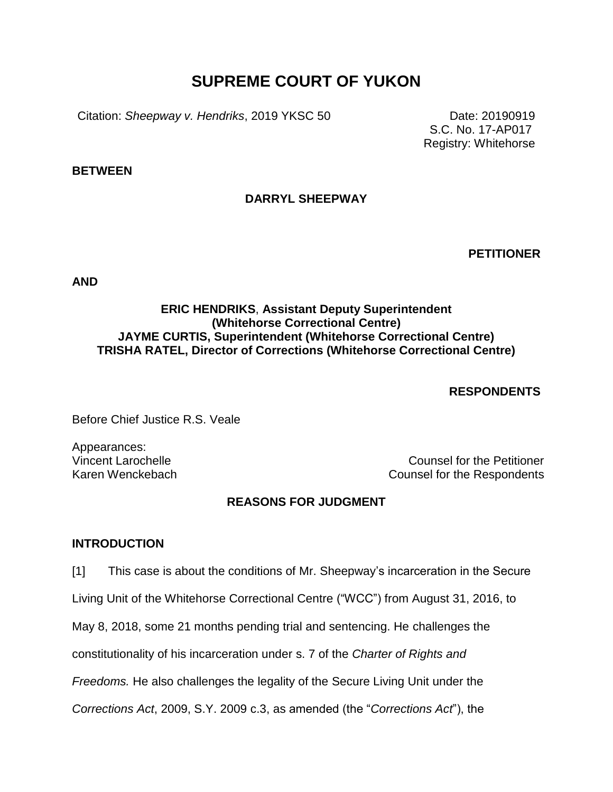# **SUPREME COURT OF YUKON**

Citation: *Sheepway v. Hendriks*, 2019 YKSC 50 Date: 20190919

S.C. No. 17-AP017 Registry: Whitehorse

**BETWEEN**

# **DARRYL SHEEPWAY**

**PETITIONER**

**AND**

# **ERIC HENDRIKS**, **Assistant Deputy Superintendent (Whitehorse Correctional Centre) JAYME CURTIS, Superintendent (Whitehorse Correctional Centre) TRISHA RATEL, Director of Corrections (Whitehorse Correctional Centre)**

# **RESPONDENTS**

Before Chief Justice R.S. Veale

Appearances:

Vincent Larochelle Counsel for the Petitioner Karen Wenckebach Counsel for the Respondents

### **REASONS FOR JUDGMENT**

#### **INTRODUCTION**

[1] This case is about the conditions of Mr. Sheepway's incarceration in the Secure

Living Unit of the Whitehorse Correctional Centre ("WCC") from August 31, 2016, to

May 8, 2018, some 21 months pending trial and sentencing. He challenges the

constitutionality of his incarceration under s. 7 of the *Charter of Rights and* 

*Freedoms.* He also challenges the legality of the Secure Living Unit under the

*Corrections Act*, 2009, S.Y. 2009 c.3, as amended (the "*Corrections Act*"), the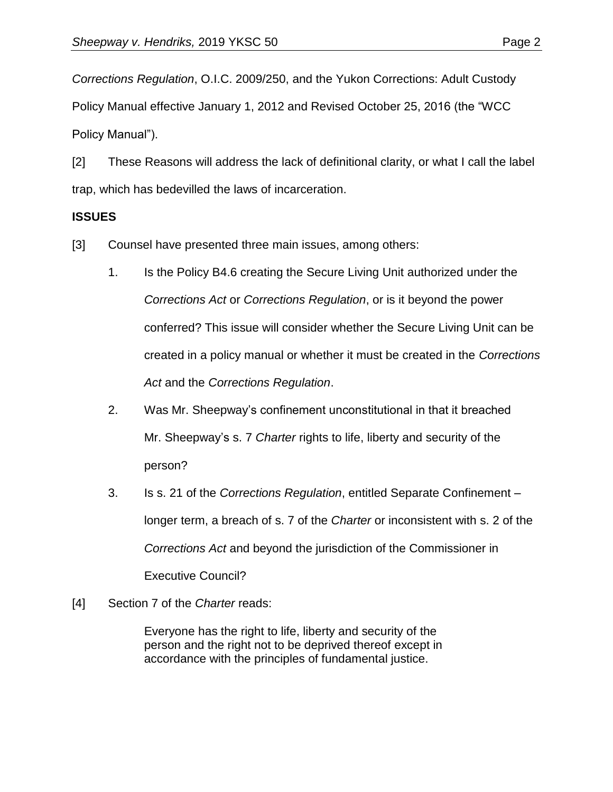*Corrections Regulation*, O.I.C. 2009/250, and the Yukon Corrections: Adult Custody Policy Manual effective January 1, 2012 and Revised October 25, 2016 (the "WCC Policy Manual").

[2] These Reasons will address the lack of definitional clarity, or what I call the label trap, which has bedevilled the laws of incarceration.

#### **ISSUES**

[3] Counsel have presented three main issues, among others:

- 1. Is the Policy B4.6 creating the Secure Living Unit authorized under the *Corrections Act* or *Corrections Regulation*, or is it beyond the power conferred? This issue will consider whether the Secure Living Unit can be created in a policy manual or whether it must be created in the *Corrections Act* and the *Corrections Regulation*.
- 2. Was Mr. Sheepway's confinement unconstitutional in that it breached Mr. Sheepway's s. 7 *Charter* rights to life, liberty and security of the person?
- 3. Is s. 21 of the *Corrections Regulation*, entitled Separate Confinement longer term, a breach of s. 7 of the *Charter* or inconsistent with s. 2 of the *Corrections Act* and beyond the jurisdiction of the Commissioner in Executive Council?
- [4] Section 7 of the *Charter* reads:

Everyone has the right to life, liberty and security of the person and the right not to be deprived thereof except in accordance with the principles of fundamental justice.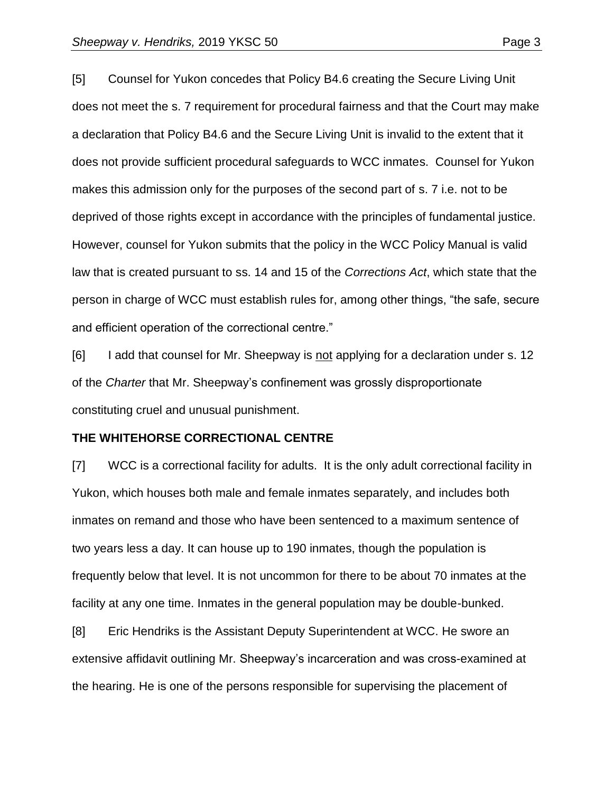[5] Counsel for Yukon concedes that Policy B4.6 creating the Secure Living Unit does not meet the s. 7 requirement for procedural fairness and that the Court may make a declaration that Policy B4.6 and the Secure Living Unit is invalid to the extent that it does not provide sufficient procedural safeguards to WCC inmates. Counsel for Yukon makes this admission only for the purposes of the second part of s. 7 i.e. not to be deprived of those rights except in accordance with the principles of fundamental justice. However, counsel for Yukon submits that the policy in the WCC Policy Manual is valid law that is created pursuant to ss. 14 and 15 of the *Corrections Act*, which state that the person in charge of WCC must establish rules for, among other things, "the safe, secure and efficient operation of the correctional centre."

[6] I add that counsel for Mr. Sheepway is not applying for a declaration under s. 12 of the *Charter* that Mr. Sheepway's confinement was grossly disproportionate constituting cruel and unusual punishment.

#### **THE WHITEHORSE CORRECTIONAL CENTRE**

[7] WCC is a correctional facility for adults. It is the only adult correctional facility in Yukon, which houses both male and female inmates separately, and includes both inmates on remand and those who have been sentenced to a maximum sentence of two years less a day. It can house up to 190 inmates, though the population is frequently below that level. It is not uncommon for there to be about 70 inmates at the facility at any one time. Inmates in the general population may be double-bunked.

[8] Eric Hendriks is the Assistant Deputy Superintendent at WCC. He swore an extensive affidavit outlining Mr. Sheepway's incarceration and was cross-examined at the hearing. He is one of the persons responsible for supervising the placement of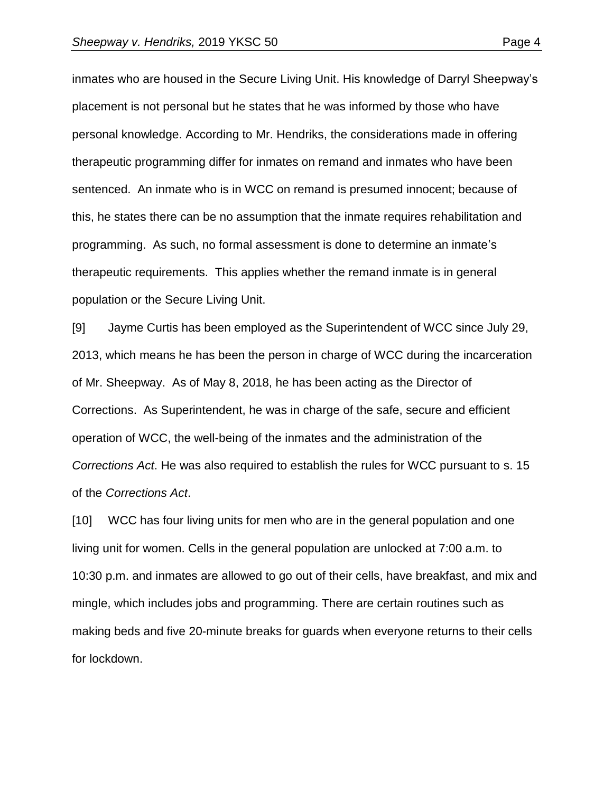inmates who are housed in the Secure Living Unit. His knowledge of Darryl Sheepway's placement is not personal but he states that he was informed by those who have personal knowledge. According to Mr. Hendriks, the considerations made in offering therapeutic programming differ for inmates on remand and inmates who have been sentenced. An inmate who is in WCC on remand is presumed innocent; because of this, he states there can be no assumption that the inmate requires rehabilitation and programming. As such, no formal assessment is done to determine an inmate's therapeutic requirements. This applies whether the remand inmate is in general population or the Secure Living Unit.

[9] Jayme Curtis has been employed as the Superintendent of WCC since July 29, 2013, which means he has been the person in charge of WCC during the incarceration of Mr. Sheepway. As of May 8, 2018, he has been acting as the Director of Corrections. As Superintendent, he was in charge of the safe, secure and efficient operation of WCC, the well-being of the inmates and the administration of the *Corrections Act*. He was also required to establish the rules for WCC pursuant to s. 15 of the *Corrections Act*.

[10] WCC has four living units for men who are in the general population and one living unit for women. Cells in the general population are unlocked at 7:00 a.m. to 10:30 p.m. and inmates are allowed to go out of their cells, have breakfast, and mix and mingle, which includes jobs and programming. There are certain routines such as making beds and five 20-minute breaks for guards when everyone returns to their cells for lockdown.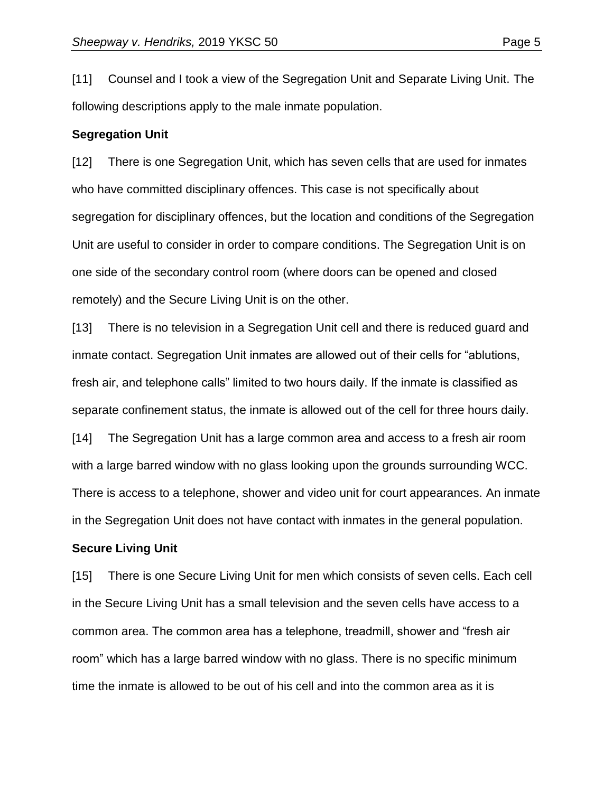[11] Counsel and I took a view of the Segregation Unit and Separate Living Unit. The following descriptions apply to the male inmate population.

#### **Segregation Unit**

[12] There is one Segregation Unit, which has seven cells that are used for inmates who have committed disciplinary offences. This case is not specifically about segregation for disciplinary offences, but the location and conditions of the Segregation Unit are useful to consider in order to compare conditions. The Segregation Unit is on one side of the secondary control room (where doors can be opened and closed remotely) and the Secure Living Unit is on the other.

[13] There is no television in a Segregation Unit cell and there is reduced guard and inmate contact. Segregation Unit inmates are allowed out of their cells for "ablutions, fresh air, and telephone calls" limited to two hours daily. If the inmate is classified as separate confinement status, the inmate is allowed out of the cell for three hours daily.

[14] The Segregation Unit has a large common area and access to a fresh air room with a large barred window with no glass looking upon the grounds surrounding WCC. There is access to a telephone, shower and video unit for court appearances. An inmate in the Segregation Unit does not have contact with inmates in the general population.

#### **Secure Living Unit**

[15] There is one Secure Living Unit for men which consists of seven cells. Each cell in the Secure Living Unit has a small television and the seven cells have access to a common area. The common area has a telephone, treadmill, shower and "fresh air room" which has a large barred window with no glass. There is no specific minimum time the inmate is allowed to be out of his cell and into the common area as it is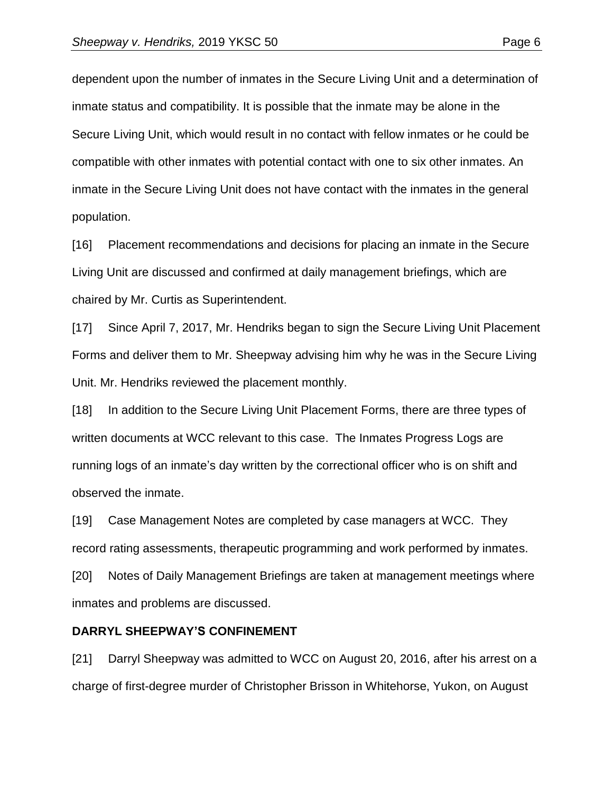dependent upon the number of inmates in the Secure Living Unit and a determination of inmate status and compatibility. It is possible that the inmate may be alone in the Secure Living Unit, which would result in no contact with fellow inmates or he could be compatible with other inmates with potential contact with one to six other inmates. An inmate in the Secure Living Unit does not have contact with the inmates in the general population.

[16] Placement recommendations and decisions for placing an inmate in the Secure Living Unit are discussed and confirmed at daily management briefings, which are chaired by Mr. Curtis as Superintendent.

[17] Since April 7, 2017, Mr. Hendriks began to sign the Secure Living Unit Placement Forms and deliver them to Mr. Sheepway advising him why he was in the Secure Living Unit. Mr. Hendriks reviewed the placement monthly.

[18] In addition to the Secure Living Unit Placement Forms, there are three types of written documents at WCC relevant to this case. The Inmates Progress Logs are running logs of an inmate's day written by the correctional officer who is on shift and observed the inmate.

[19] Case Management Notes are completed by case managers at WCC. They record rating assessments, therapeutic programming and work performed by inmates.

[20] Notes of Daily Management Briefings are taken at management meetings where inmates and problems are discussed.

#### **DARRYL SHEEPWAY'S CONFINEMENT**

[21] Darryl Sheepway was admitted to WCC on August 20, 2016, after his arrest on a charge of first-degree murder of Christopher Brisson in Whitehorse, Yukon, on August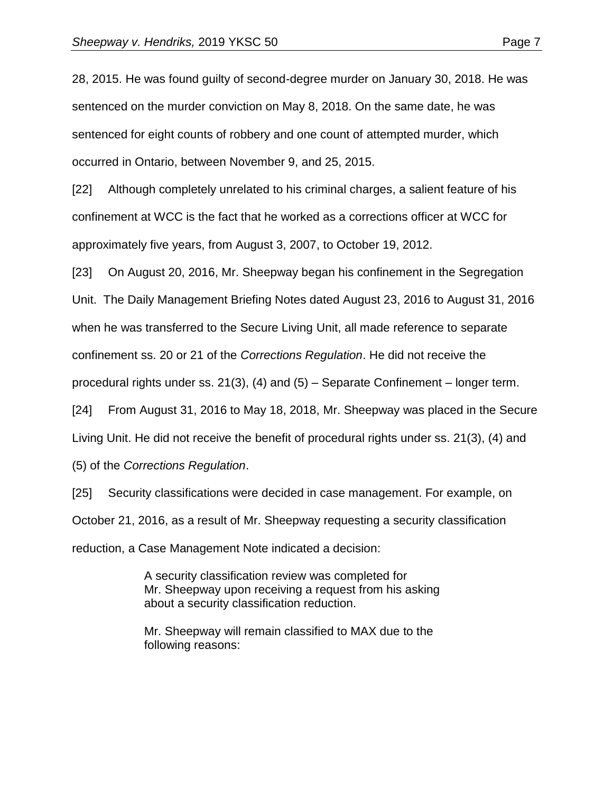28, 2015. He was found guilty of second-degree murder on January 30, 2018. He was sentenced on the murder conviction on May 8, 2018. On the same date, he was sentenced for eight counts of robbery and one count of attempted murder, which occurred in Ontario, between November 9, and 25, 2015.

[22] Although completely unrelated to his criminal charges, a salient feature of his confinement at WCC is the fact that he worked as a corrections officer at WCC for approximately five years, from August 3, 2007, to October 19, 2012.

[23] On August 20, 2016, Mr. Sheepway began his confinement in the Segregation Unit. The Daily Management Briefing Notes dated August 23, 2016 to August 31, 2016 when he was transferred to the Secure Living Unit, all made reference to separate confinement ss. 20 or 21 of the *Corrections Regulation*. He did not receive the procedural rights under ss. 21(3), (4) and (5) – Separate Confinement – longer term.

[24] From August 31, 2016 to May 18, 2018, Mr. Sheepway was placed in the Secure Living Unit. He did not receive the benefit of procedural rights under ss. 21(3), (4) and

(5) of the *Corrections Regulation*.

[25] Security classifications were decided in case management. For example, on October 21, 2016, as a result of Mr. Sheepway requesting a security classification reduction, a Case Management Note indicated a decision:

> A security classification review was completed for Mr. Sheepway upon receiving a request from his asking about a security classification reduction.

Mr. Sheepway will remain classified to MAX due to the following reasons: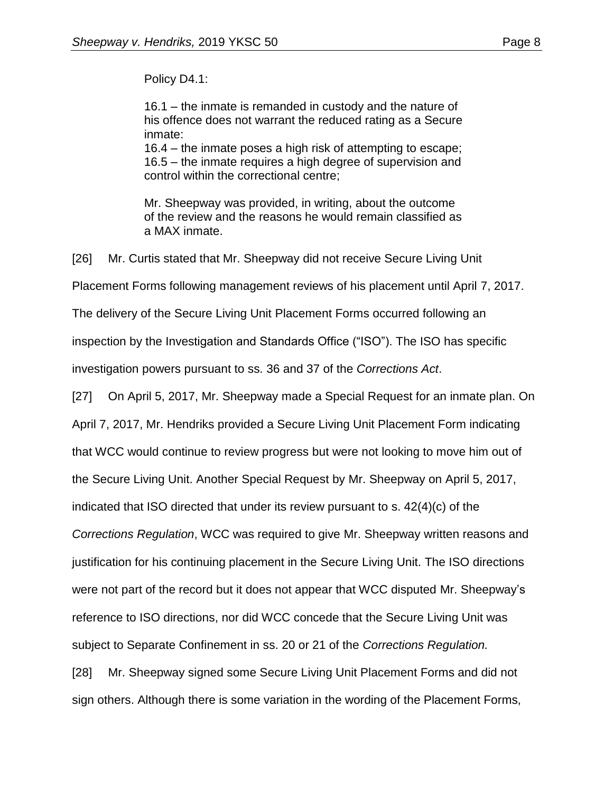Policy D4.1:

16.1 – the inmate is remanded in custody and the nature of his offence does not warrant the reduced rating as a Secure inmate:

16.4 – the inmate poses a high risk of attempting to escape; 16.5 – the inmate requires a high degree of supervision and control within the correctional centre;

Mr. Sheepway was provided, in writing, about the outcome of the review and the reasons he would remain classified as a MAX inmate.

[26] Mr. Curtis stated that Mr. Sheepway did not receive Secure Living Unit

Placement Forms following management reviews of his placement until April 7, 2017.

The delivery of the Secure Living Unit Placement Forms occurred following an

inspection by the Investigation and Standards Office ("ISO"). The ISO has specific

investigation powers pursuant to ss. 36 and 37 of the *Corrections Act*.

[27] On April 5, 2017, Mr. Sheepway made a Special Request for an inmate plan. On

April 7, 2017, Mr. Hendriks provided a Secure Living Unit Placement Form indicating

that WCC would continue to review progress but were not looking to move him out of

the Secure Living Unit. Another Special Request by Mr. Sheepway on April 5, 2017,

indicated that ISO directed that under its review pursuant to s. 42(4)(c) of the

*Corrections Regulation*, WCC was required to give Mr. Sheepway written reasons and

justification for his continuing placement in the Secure Living Unit. The ISO directions

were not part of the record but it does not appear that WCC disputed Mr. Sheepway's

reference to ISO directions, nor did WCC concede that the Secure Living Unit was

subject to Separate Confinement in ss. 20 or 21 of the *Corrections Regulation.*

[28] Mr. Sheepway signed some Secure Living Unit Placement Forms and did not sign others. Although there is some variation in the wording of the Placement Forms,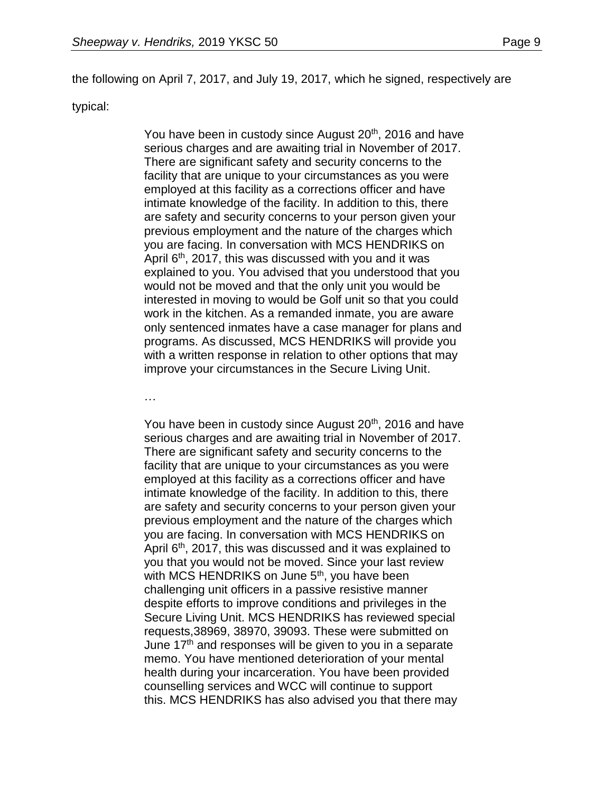the following on April 7, 2017, and July 19, 2017, which he signed, respectively are

#### typical:

You have been in custody since August 20<sup>th</sup>, 2016 and have serious charges and are awaiting trial in November of 2017. There are significant safety and security concerns to the facility that are unique to your circumstances as you were employed at this facility as a corrections officer and have intimate knowledge of the facility. In addition to this, there are safety and security concerns to your person given your previous employment and the nature of the charges which you are facing. In conversation with MCS HENDRIKS on April  $6<sup>th</sup>$ , 2017, this was discussed with you and it was explained to you. You advised that you understood that you would not be moved and that the only unit you would be interested in moving to would be Golf unit so that you could work in the kitchen. As a remanded inmate, you are aware only sentenced inmates have a case manager for plans and programs. As discussed, MCS HENDRIKS will provide you with a written response in relation to other options that may improve your circumstances in the Secure Living Unit.

…

You have been in custody since August 20<sup>th</sup>, 2016 and have serious charges and are awaiting trial in November of 2017. There are significant safety and security concerns to the facility that are unique to your circumstances as you were employed at this facility as a corrections officer and have intimate knowledge of the facility. In addition to this, there are safety and security concerns to your person given your previous employment and the nature of the charges which you are facing. In conversation with MCS HENDRIKS on April 6<sup>th</sup>, 2017, this was discussed and it was explained to you that you would not be moved. Since your last review with MCS HENDRIKS on June 5<sup>th</sup>, you have been challenging unit officers in a passive resistive manner despite efforts to improve conditions and privileges in the Secure Living Unit. MCS HENDRIKS has reviewed special requests,38969, 38970, 39093. These were submitted on June 17<sup>th</sup> and responses will be given to you in a separate memo. You have mentioned deterioration of your mental health during your incarceration. You have been provided counselling services and WCC will continue to support this. MCS HENDRIKS has also advised you that there may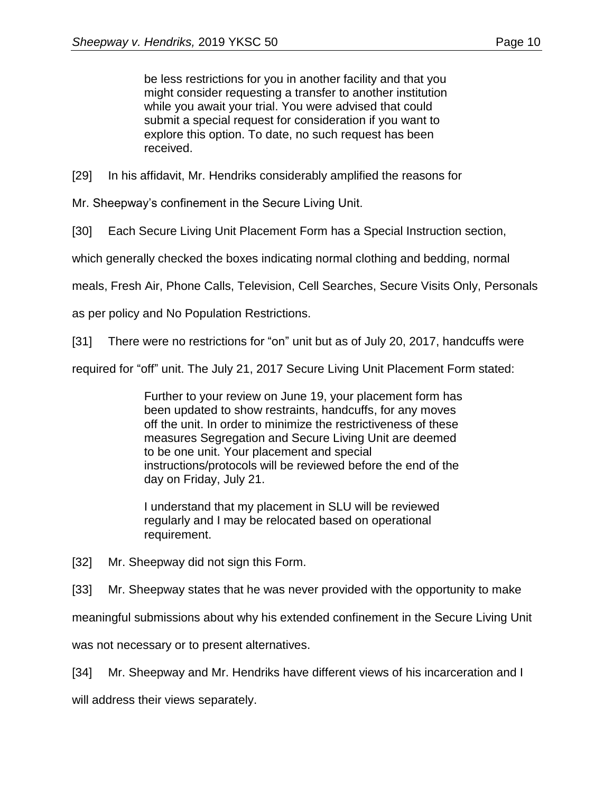be less restrictions for you in another facility and that you might consider requesting a transfer to another institution while you await your trial. You were advised that could submit a special request for consideration if you want to explore this option. To date, no such request has been received.

[29] In his affidavit, Mr. Hendriks considerably amplified the reasons for

Mr. Sheepway's confinement in the Secure Living Unit.

[30] Each Secure Living Unit Placement Form has a Special Instruction section,

which generally checked the boxes indicating normal clothing and bedding, normal

meals, Fresh Air, Phone Calls, Television, Cell Searches, Secure Visits Only, Personals

as per policy and No Population Restrictions.

[31] There were no restrictions for "on" unit but as of July 20, 2017, handcuffs were

required for "off" unit. The July 21, 2017 Secure Living Unit Placement Form stated:

Further to your review on June 19, your placement form has been updated to show restraints, handcuffs, for any moves off the unit. In order to minimize the restrictiveness of these measures Segregation and Secure Living Unit are deemed to be one unit. Your placement and special instructions/protocols will be reviewed before the end of the day on Friday, July 21.

I understand that my placement in SLU will be reviewed regularly and I may be relocated based on operational requirement.

[32] Mr. Sheepway did not sign this Form.

[33] Mr. Sheepway states that he was never provided with the opportunity to make

meaningful submissions about why his extended confinement in the Secure Living Unit

was not necessary or to present alternatives.

[34] Mr. Sheepway and Mr. Hendriks have different views of his incarceration and I

will address their views separately.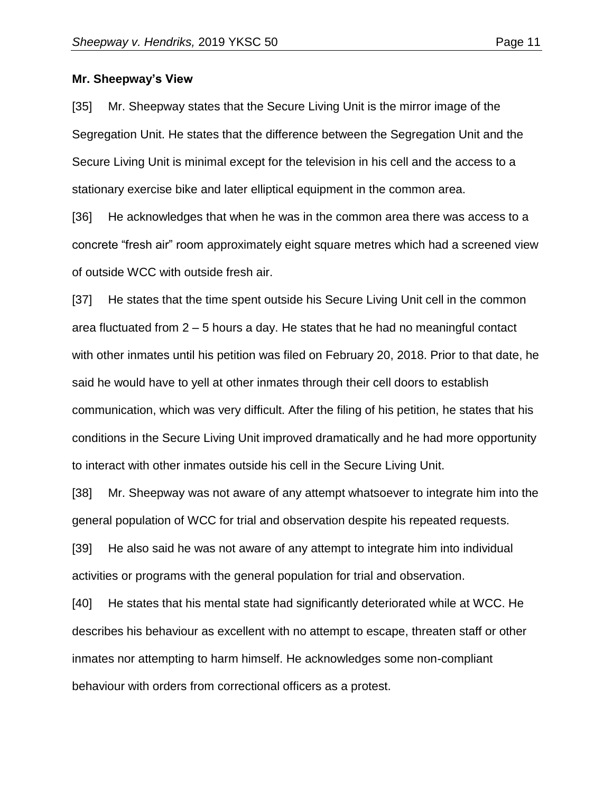#### **Mr. Sheepway's View**

[35] Mr. Sheepway states that the Secure Living Unit is the mirror image of the Segregation Unit. He states that the difference between the Segregation Unit and the Secure Living Unit is minimal except for the television in his cell and the access to a stationary exercise bike and later elliptical equipment in the common area.

[36] He acknowledges that when he was in the common area there was access to a concrete "fresh air" room approximately eight square metres which had a screened view of outside WCC with outside fresh air.

[37] He states that the time spent outside his Secure Living Unit cell in the common area fluctuated from 2 – 5 hours a day. He states that he had no meaningful contact with other inmates until his petition was filed on February 20, 2018. Prior to that date, he said he would have to yell at other inmates through their cell doors to establish communication, which was very difficult. After the filing of his petition, he states that his conditions in the Secure Living Unit improved dramatically and he had more opportunity to interact with other inmates outside his cell in the Secure Living Unit.

[38] Mr. Sheepway was not aware of any attempt whatsoever to integrate him into the general population of WCC for trial and observation despite his repeated requests.

[39] He also said he was not aware of any attempt to integrate him into individual activities or programs with the general population for trial and observation.

[40] He states that his mental state had significantly deteriorated while at WCC. He describes his behaviour as excellent with no attempt to escape, threaten staff or other inmates nor attempting to harm himself. He acknowledges some non-compliant behaviour with orders from correctional officers as a protest.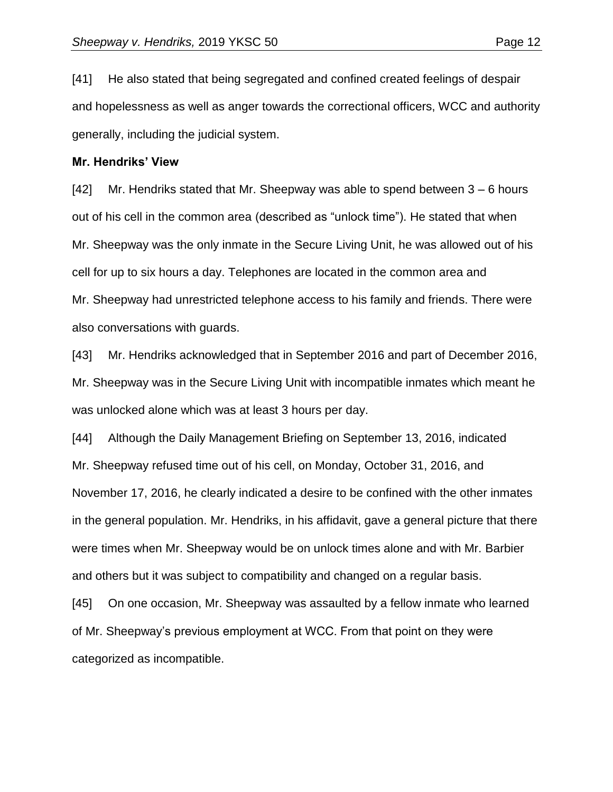[41] He also stated that being segregated and confined created feelings of despair and hopelessness as well as anger towards the correctional officers, WCC and authority generally, including the judicial system.

#### **Mr. Hendriks' View**

[42] Mr. Hendriks stated that Mr. Sheepway was able to spend between 3 – 6 hours out of his cell in the common area (described as "unlock time"). He stated that when Mr. Sheepway was the only inmate in the Secure Living Unit, he was allowed out of his cell for up to six hours a day. Telephones are located in the common area and Mr. Sheepway had unrestricted telephone access to his family and friends. There were also conversations with guards.

[43] Mr. Hendriks acknowledged that in September 2016 and part of December 2016, Mr. Sheepway was in the Secure Living Unit with incompatible inmates which meant he was unlocked alone which was at least 3 hours per day.

[44] Although the Daily Management Briefing on September 13, 2016, indicated Mr. Sheepway refused time out of his cell, on Monday, October 31, 2016, and November 17, 2016, he clearly indicated a desire to be confined with the other inmates in the general population. Mr. Hendriks, in his affidavit, gave a general picture that there were times when Mr. Sheepway would be on unlock times alone and with Mr. Barbier and others but it was subject to compatibility and changed on a regular basis.

[45] On one occasion, Mr. Sheepway was assaulted by a fellow inmate who learned of Mr. Sheepway's previous employment at WCC. From that point on they were categorized as incompatible.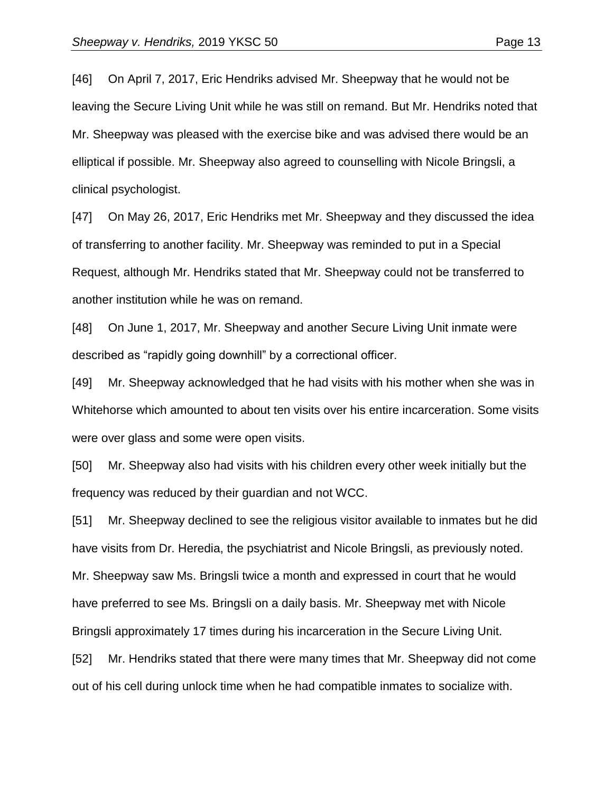[46] On April 7, 2017, Eric Hendriks advised Mr. Sheepway that he would not be leaving the Secure Living Unit while he was still on remand. But Mr. Hendriks noted that Mr. Sheepway was pleased with the exercise bike and was advised there would be an elliptical if possible. Mr. Sheepway also agreed to counselling with Nicole Bringsli, a clinical psychologist.

[47] On May 26, 2017, Eric Hendriks met Mr. Sheepway and they discussed the idea of transferring to another facility. Mr. Sheepway was reminded to put in a Special Request, although Mr. Hendriks stated that Mr. Sheepway could not be transferred to another institution while he was on remand.

[48] On June 1, 2017, Mr. Sheepway and another Secure Living Unit inmate were described as "rapidly going downhill" by a correctional officer.

[49] Mr. Sheepway acknowledged that he had visits with his mother when she was in Whitehorse which amounted to about ten visits over his entire incarceration. Some visits were over glass and some were open visits.

[50] Mr. Sheepway also had visits with his children every other week initially but the frequency was reduced by their guardian and not WCC.

[51] Mr. Sheepway declined to see the religious visitor available to inmates but he did have visits from Dr. Heredia, the psychiatrist and Nicole Bringsli, as previously noted. Mr. Sheepway saw Ms. Bringsli twice a month and expressed in court that he would have preferred to see Ms. Bringsli on a daily basis. Mr. Sheepway met with Nicole Bringsli approximately 17 times during his incarceration in the Secure Living Unit.

[52] Mr. Hendriks stated that there were many times that Mr. Sheepway did not come out of his cell during unlock time when he had compatible inmates to socialize with.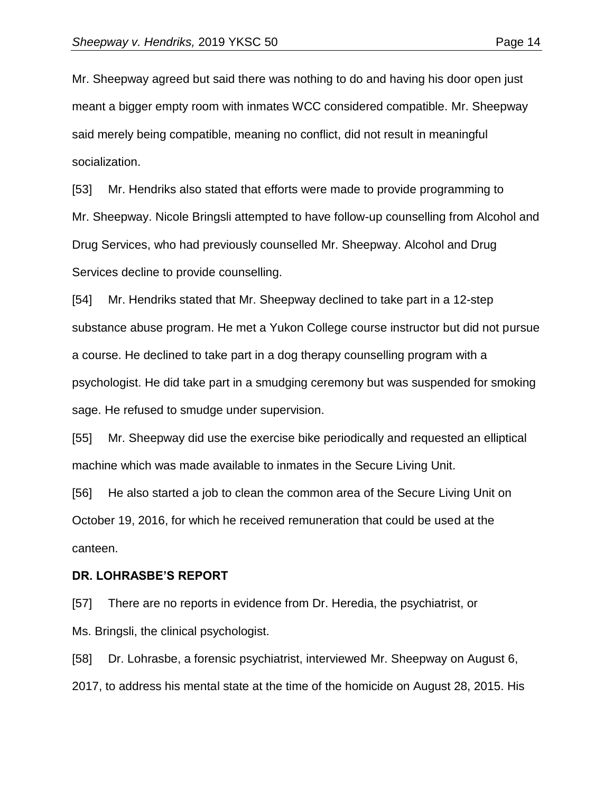Mr. Sheepway agreed but said there was nothing to do and having his door open just meant a bigger empty room with inmates WCC considered compatible. Mr. Sheepway said merely being compatible, meaning no conflict, did not result in meaningful socialization.

[53] Mr. Hendriks also stated that efforts were made to provide programming to Mr. Sheepway. Nicole Bringsli attempted to have follow-up counselling from Alcohol and Drug Services, who had previously counselled Mr. Sheepway. Alcohol and Drug Services decline to provide counselling.

[54] Mr. Hendriks stated that Mr. Sheepway declined to take part in a 12-step substance abuse program. He met a Yukon College course instructor but did not pursue a course. He declined to take part in a dog therapy counselling program with a psychologist. He did take part in a smudging ceremony but was suspended for smoking sage. He refused to smudge under supervision.

[55] Mr. Sheepway did use the exercise bike periodically and requested an elliptical machine which was made available to inmates in the Secure Living Unit.

[56] He also started a job to clean the common area of the Secure Living Unit on October 19, 2016, for which he received remuneration that could be used at the canteen.

#### **DR. LOHRASBE'S REPORT**

[57] There are no reports in evidence from Dr. Heredia, the psychiatrist, or Ms. Bringsli, the clinical psychologist.

[58] Dr. Lohrasbe, a forensic psychiatrist, interviewed Mr. Sheepway on August 6, 2017, to address his mental state at the time of the homicide on August 28, 2015. His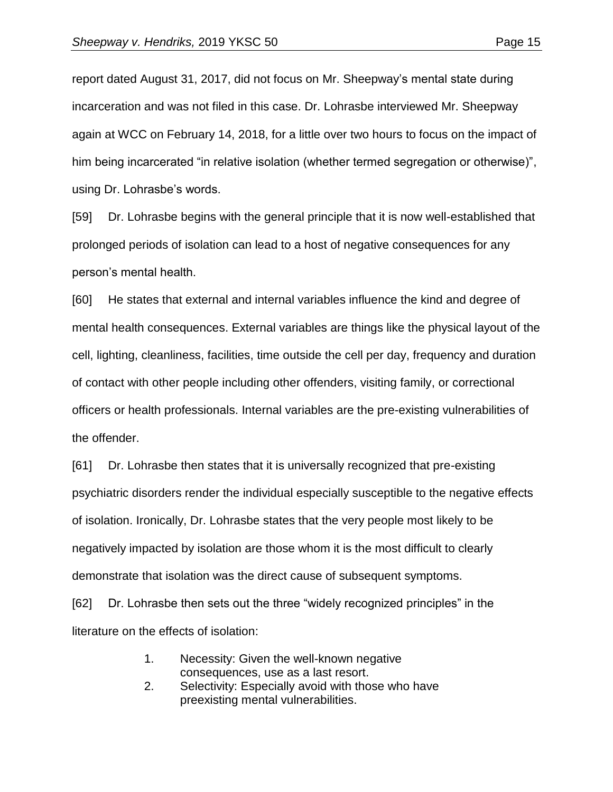report dated August 31, 2017, did not focus on Mr. Sheepway's mental state during incarceration and was not filed in this case. Dr. Lohrasbe interviewed Mr. Sheepway again at WCC on February 14, 2018, for a little over two hours to focus on the impact of him being incarcerated "in relative isolation (whether termed segregation or otherwise)", using Dr. Lohrasbe's words.

[59] Dr. Lohrasbe begins with the general principle that it is now well-established that prolonged periods of isolation can lead to a host of negative consequences for any person's mental health.

[60] He states that external and internal variables influence the kind and degree of mental health consequences. External variables are things like the physical layout of the cell, lighting, cleanliness, facilities, time outside the cell per day, frequency and duration of contact with other people including other offenders, visiting family, or correctional officers or health professionals. Internal variables are the pre-existing vulnerabilities of the offender.

[61] Dr. Lohrasbe then states that it is universally recognized that pre-existing psychiatric disorders render the individual especially susceptible to the negative effects of isolation. Ironically, Dr. Lohrasbe states that the very people most likely to be negatively impacted by isolation are those whom it is the most difficult to clearly demonstrate that isolation was the direct cause of subsequent symptoms.

[62] Dr. Lohrasbe then sets out the three "widely recognized principles" in the literature on the effects of isolation:

- 1. Necessity: Given the well-known negative consequences, use as a last resort.
- 2. Selectivity: Especially avoid with those who have preexisting mental vulnerabilities.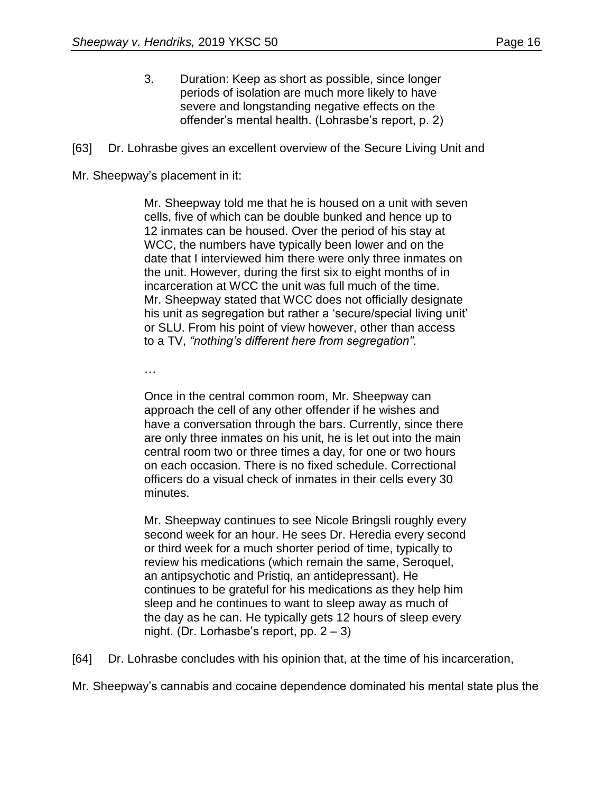- 3. Duration: Keep as short as possible, since longer periods of isolation are much more likely to have severe and longstanding negative effects on the offender's mental health. (Lohrasbe's report, p. 2)
- [63] Dr. Lohrasbe gives an excellent overview of the Secure Living Unit and

Mr. Sheepway's placement in it:

Mr. Sheepway told me that he is housed on a unit with seven cells, five of which can be double bunked and hence up to 12 inmates can be housed. Over the period of his stay at WCC, the numbers have typically been lower and on the date that I interviewed him there were only three inmates on the unit. However, during the first six to eight months of in incarceration at WCC the unit was full much of the time. Mr. Sheepway stated that WCC does not officially designate his unit as segregation but rather a 'secure/special living unit' or SLU. From his point of view however, other than access to a TV, *"nothing's different here from segregation"*.

…

Once in the central common room, Mr. Sheepway can approach the cell of any other offender if he wishes and have a conversation through the bars. Currently, since there are only three inmates on his unit, he is let out into the main central room two or three times a day, for one or two hours on each occasion. There is no fixed schedule. Correctional officers do a visual check of inmates in their cells every 30 minutes.

Mr. Sheepway continues to see Nicole Bringsli roughly every second week for an hour. He sees Dr. Heredia every second or third week for a much shorter period of time, typically to review his medications (which remain the same, Seroquel, an antipsychotic and Pristiq, an antidepressant). He continues to be grateful for his medications as they help him sleep and he continues to want to sleep away as much of the day as he can. He typically gets 12 hours of sleep every night. (Dr. Lorhasbe's report, pp. 2 – 3)

[64] Dr. Lohrasbe concludes with his opinion that, at the time of his incarceration,

Mr. Sheepway's cannabis and cocaine dependence dominated his mental state plus the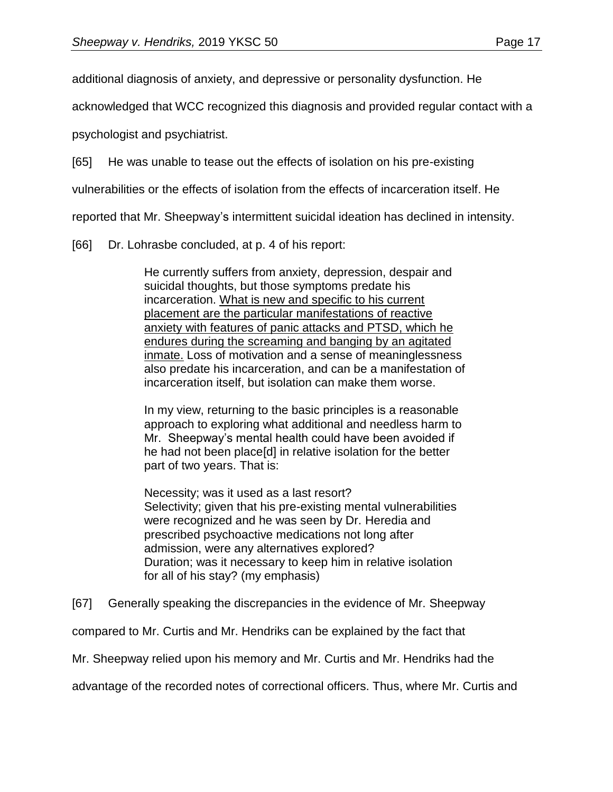additional diagnosis of anxiety, and depressive or personality dysfunction. He

acknowledged that WCC recognized this diagnosis and provided regular contact with a

psychologist and psychiatrist.

[65] He was unable to tease out the effects of isolation on his pre-existing

vulnerabilities or the effects of isolation from the effects of incarceration itself. He

reported that Mr. Sheepway's intermittent suicidal ideation has declined in intensity.

[66] Dr. Lohrasbe concluded, at p. 4 of his report:

He currently suffers from anxiety, depression, despair and suicidal thoughts, but those symptoms predate his incarceration. What is new and specific to his current placement are the particular manifestations of reactive anxiety with features of panic attacks and PTSD, which he endures during the screaming and banging by an agitated inmate. Loss of motivation and a sense of meaninglessness also predate his incarceration, and can be a manifestation of incarceration itself, but isolation can make them worse.

In my view, returning to the basic principles is a reasonable approach to exploring what additional and needless harm to Mr. Sheepway's mental health could have been avoided if he had not been place[d] in relative isolation for the better part of two years. That is:

Necessity; was it used as a last resort? Selectivity; given that his pre-existing mental vulnerabilities were recognized and he was seen by Dr. Heredia and prescribed psychoactive medications not long after admission, were any alternatives explored? Duration; was it necessary to keep him in relative isolation for all of his stay? (my emphasis)

[67] Generally speaking the discrepancies in the evidence of Mr. Sheepway

compared to Mr. Curtis and Mr. Hendriks can be explained by the fact that

Mr. Sheepway relied upon his memory and Mr. Curtis and Mr. Hendriks had the

advantage of the recorded notes of correctional officers. Thus, where Mr. Curtis and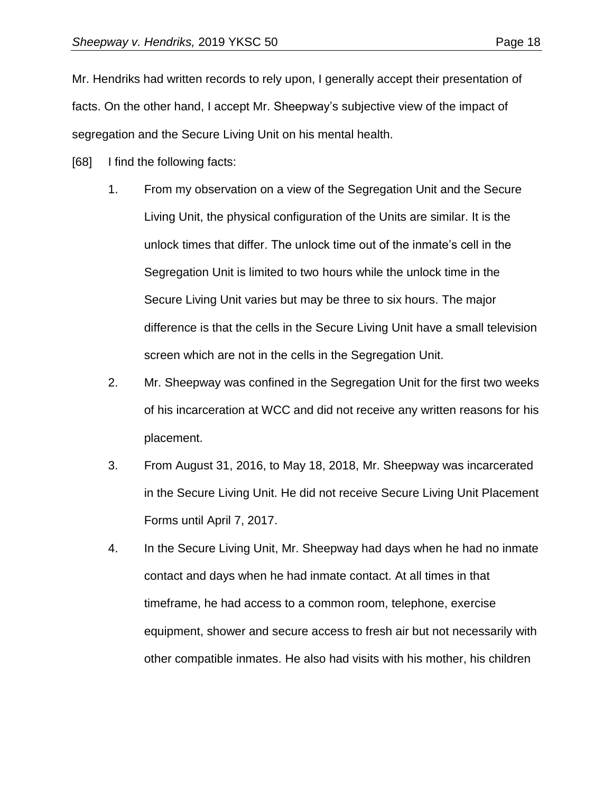Mr. Hendriks had written records to rely upon, I generally accept their presentation of facts. On the other hand, I accept Mr. Sheepway's subjective view of the impact of segregation and the Secure Living Unit on his mental health.

- [68] I find the following facts:
	- 1. From my observation on a view of the Segregation Unit and the Secure Living Unit, the physical configuration of the Units are similar. It is the unlock times that differ. The unlock time out of the inmate's cell in the Segregation Unit is limited to two hours while the unlock time in the Secure Living Unit varies but may be three to six hours. The major difference is that the cells in the Secure Living Unit have a small television screen which are not in the cells in the Segregation Unit.
	- 2. Mr. Sheepway was confined in the Segregation Unit for the first two weeks of his incarceration at WCC and did not receive any written reasons for his placement.
	- 3. From August 31, 2016, to May 18, 2018, Mr. Sheepway was incarcerated in the Secure Living Unit. He did not receive Secure Living Unit Placement Forms until April 7, 2017.
	- 4. In the Secure Living Unit, Mr. Sheepway had days when he had no inmate contact and days when he had inmate contact. At all times in that timeframe, he had access to a common room, telephone, exercise equipment, shower and secure access to fresh air but not necessarily with other compatible inmates. He also had visits with his mother, his children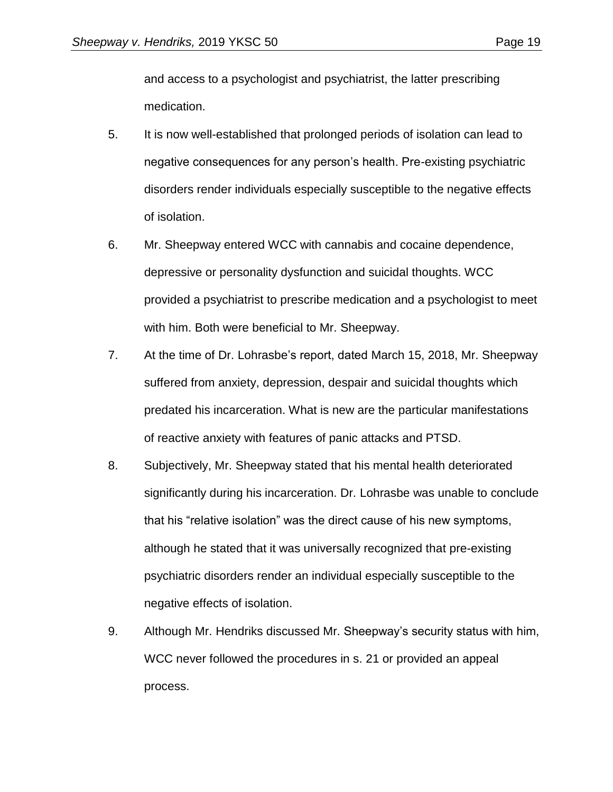and access to a psychologist and psychiatrist, the latter prescribing medication.

- 5. It is now well-established that prolonged periods of isolation can lead to negative consequences for any person's health. Pre-existing psychiatric disorders render individuals especially susceptible to the negative effects of isolation.
- 6. Mr. Sheepway entered WCC with cannabis and cocaine dependence, depressive or personality dysfunction and suicidal thoughts. WCC provided a psychiatrist to prescribe medication and a psychologist to meet with him. Both were beneficial to Mr. Sheepway.
- 7. At the time of Dr. Lohrasbe's report, dated March 15, 2018, Mr. Sheepway suffered from anxiety, depression, despair and suicidal thoughts which predated his incarceration. What is new are the particular manifestations of reactive anxiety with features of panic attacks and PTSD.
- 8. Subjectively, Mr. Sheepway stated that his mental health deteriorated significantly during his incarceration. Dr. Lohrasbe was unable to conclude that his "relative isolation" was the direct cause of his new symptoms, although he stated that it was universally recognized that pre-existing psychiatric disorders render an individual especially susceptible to the negative effects of isolation.
- 9. Although Mr. Hendriks discussed Mr. Sheepway's security status with him, WCC never followed the procedures in s. 21 or provided an appeal process.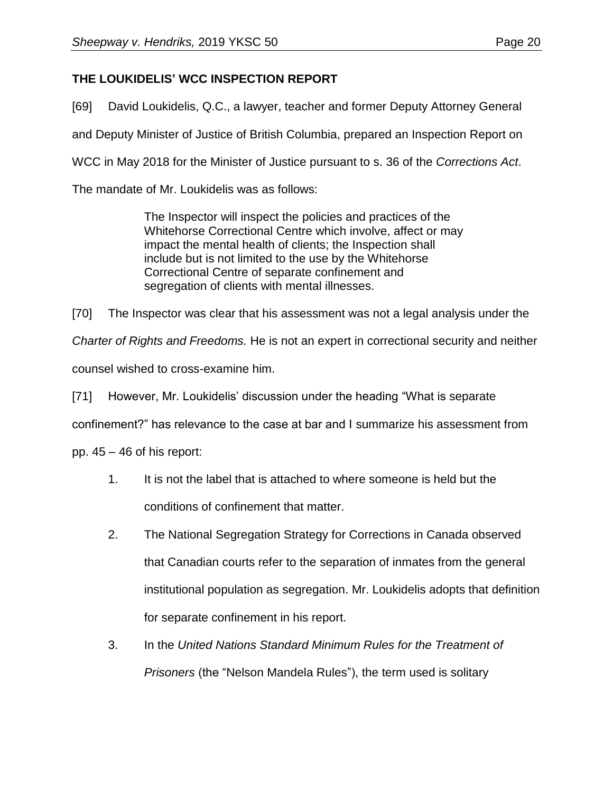# **THE LOUKIDELIS' WCC INSPECTION REPORT**

[69] David Loukidelis, Q.C., a lawyer, teacher and former Deputy Attorney General

and Deputy Minister of Justice of British Columbia, prepared an Inspection Report on

WCC in May 2018 for the Minister of Justice pursuant to s. 36 of the *Corrections Act*.

The mandate of Mr. Loukidelis was as follows:

The Inspector will inspect the policies and practices of the Whitehorse Correctional Centre which involve, affect or may impact the mental health of clients; the Inspection shall include but is not limited to the use by the Whitehorse Correctional Centre of separate confinement and segregation of clients with mental illnesses.

[70] The Inspector was clear that his assessment was not a legal analysis under the

*Charter of Rights and Freedoms.* He is not an expert in correctional security and neither

counsel wished to cross-examine him.

[71] However, Mr. Loukidelis' discussion under the heading "What is separate

confinement?" has relevance to the case at bar and I summarize his assessment from

pp.  $45 - 46$  of his report:

- 1. It is not the label that is attached to where someone is held but the conditions of confinement that matter.
- 2. The National Segregation Strategy for Corrections in Canada observed that Canadian courts refer to the separation of inmates from the general institutional population as segregation. Mr. Loukidelis adopts that definition for separate confinement in his report.
- 3. In the *United Nations Standard Minimum Rules for the Treatment of Prisoners* (the "Nelson Mandela Rules"), the term used is solitary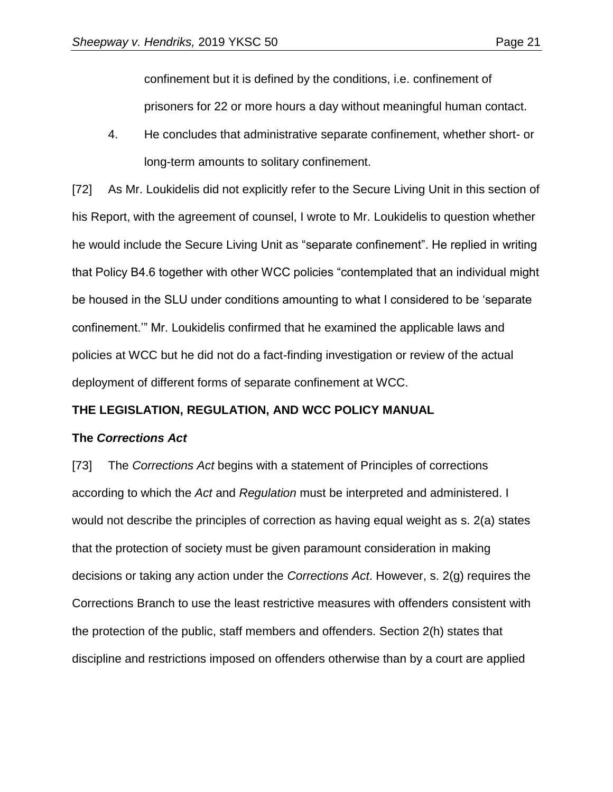confinement but it is defined by the conditions, i.e. confinement of prisoners for 22 or more hours a day without meaningful human contact.

4. He concludes that administrative separate confinement, whether short- or long-term amounts to solitary confinement.

[72] As Mr. Loukidelis did not explicitly refer to the Secure Living Unit in this section of his Report, with the agreement of counsel, I wrote to Mr. Loukidelis to question whether he would include the Secure Living Unit as "separate confinement". He replied in writing that Policy B4.6 together with other WCC policies "contemplated that an individual might be housed in the SLU under conditions amounting to what I considered to be 'separate confinement.'" Mr. Loukidelis confirmed that he examined the applicable laws and policies at WCC but he did not do a fact-finding investigation or review of the actual deployment of different forms of separate confinement at WCC.

### **THE LEGISLATION, REGULATION, AND WCC POLICY MANUAL**

#### **The** *Corrections Act*

[73] The *Corrections Act* begins with a statement of Principles of corrections according to which the *Act* and *Regulation* must be interpreted and administered. I would not describe the principles of correction as having equal weight as s. 2(a) states that the protection of society must be given paramount consideration in making decisions or taking any action under the *Corrections Act*. However, s. 2(g) requires the Corrections Branch to use the least restrictive measures with offenders consistent with the protection of the public, staff members and offenders. Section 2(h) states that discipline and restrictions imposed on offenders otherwise than by a court are applied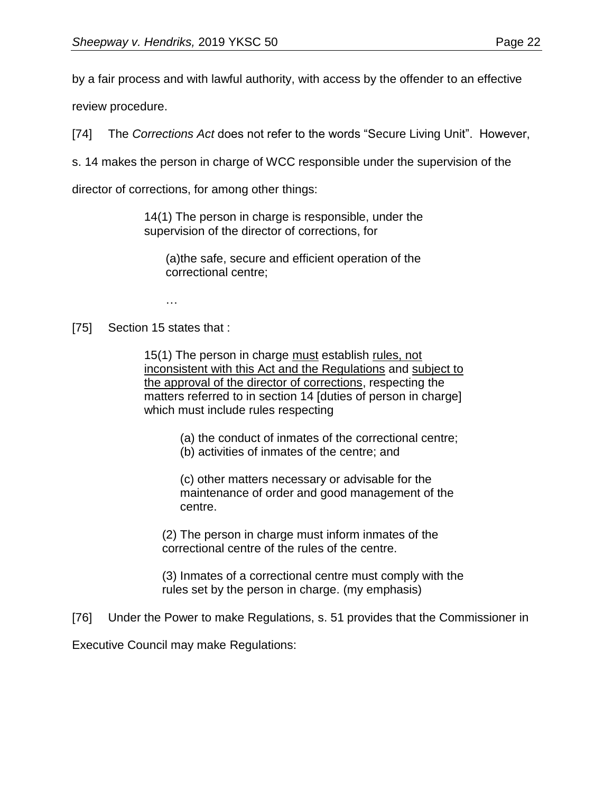by a fair process and with lawful authority, with access by the offender to an effective

review procedure.

[74] The *Corrections Act* does not refer to the words "Secure Living Unit". However,

s. 14 makes the person in charge of WCC responsible under the supervision of the

director of corrections, for among other things:

14(1) The person in charge is responsible, under the supervision of the director of corrections, for

(a)the safe, secure and efficient operation of the correctional centre;

…

### [75] Section 15 states that :

15(1) The person in charge must establish rules, not inconsistent with this Act and the Regulations and subject to the approval of the director of corrections, respecting the matters referred to in section 14 [duties of person in charge] which must include rules respecting

- (a) the conduct of inmates of the correctional centre;
- (b) activities of inmates of the centre; and

(c) other matters necessary or advisable for the maintenance of order and good management of the centre.

(2) The person in charge must inform inmates of the correctional centre of the rules of the centre.

(3) Inmates of a correctional centre must comply with the rules set by the person in charge. (my emphasis)

[76] Under the Power to make Regulations, s. 51 provides that the Commissioner in

Executive Council may make Regulations: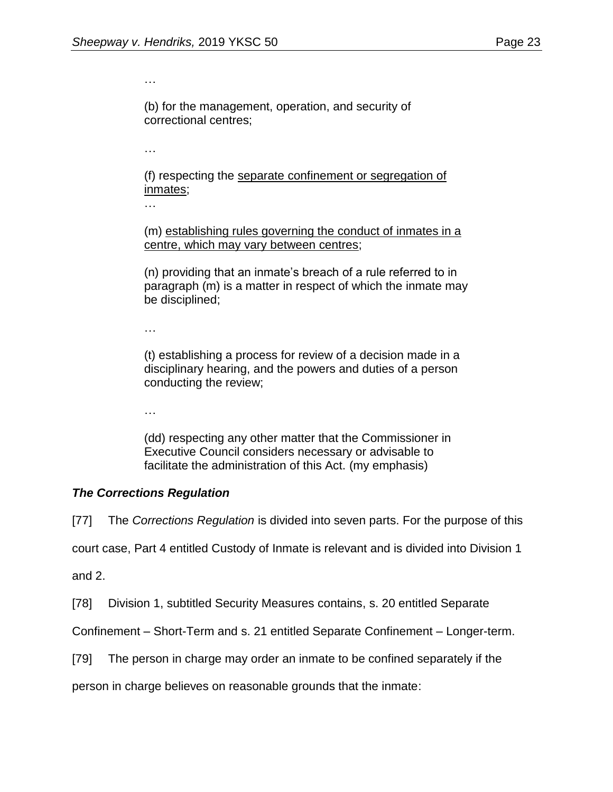…

(b) for the management, operation, and security of correctional centres;

…

(f) respecting the separate confinement or segregation of inmates;

…

(m) establishing rules governing the conduct of inmates in a centre, which may vary between centres;

(n) providing that an inmate's breach of a rule referred to in paragraph (m) is a matter in respect of which the inmate may be disciplined;

…

(t) establishing a process for review of a decision made in a disciplinary hearing, and the powers and duties of a person conducting the review;

…

(dd) respecting any other matter that the Commissioner in Executive Council considers necessary or advisable to facilitate the administration of this Act. (my emphasis)

### *The Corrections Regulation*

[77] The *Corrections Regulation* is divided into seven parts. For the purpose of this

court case, Part 4 entitled Custody of Inmate is relevant and is divided into Division 1

and 2.

[78] Division 1, subtitled Security Measures contains, s. 20 entitled Separate

Confinement – Short-Term and s. 21 entitled Separate Confinement – Longer-term.

[79] The person in charge may order an inmate to be confined separately if the

person in charge believes on reasonable grounds that the inmate: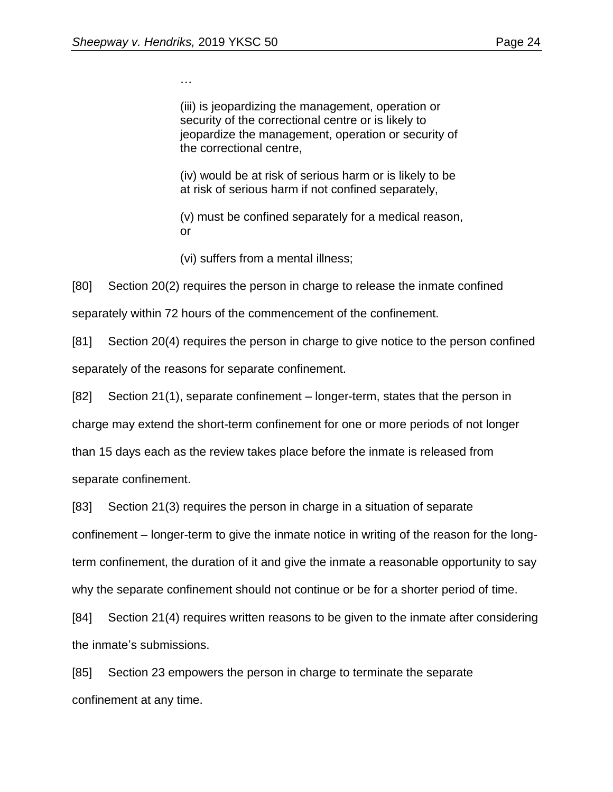…

(iii) is jeopardizing the management, operation or security of the correctional centre or is likely to jeopardize the management, operation or security of the correctional centre,

(iv) would be at risk of serious harm or is likely to be at risk of serious harm if not confined separately,

(v) must be confined separately for a medical reason, or

(vi) suffers from a mental illness;

[80] Section 20(2) requires the person in charge to release the inmate confined

separately within 72 hours of the commencement of the confinement.

[81] Section 20(4) requires the person in charge to give notice to the person confined separately of the reasons for separate confinement.

[82] Section 21(1), separate confinement – longer-term, states that the person in

charge may extend the short-term confinement for one or more periods of not longer

than 15 days each as the review takes place before the inmate is released from

separate confinement.

[83] Section 21(3) requires the person in charge in a situation of separate

confinement – longer-term to give the inmate notice in writing of the reason for the long-

term confinement, the duration of it and give the inmate a reasonable opportunity to say

why the separate confinement should not continue or be for a shorter period of time.

[84] Section 21(4) requires written reasons to be given to the inmate after considering the inmate's submissions.

[85] Section 23 empowers the person in charge to terminate the separate confinement at any time.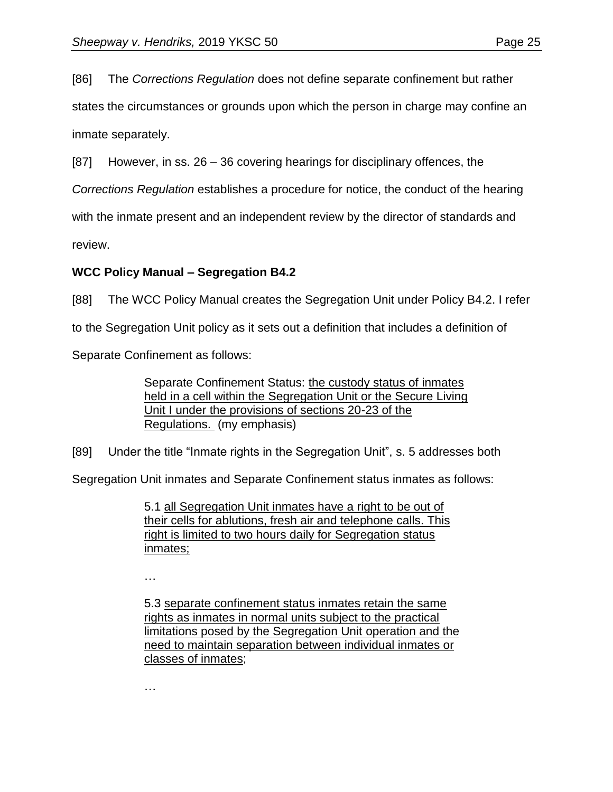[86] The *Corrections Regulation* does not define separate confinement but rather

states the circumstances or grounds upon which the person in charge may confine an inmate separately.

[87] However, in ss. 26 – 36 covering hearings for disciplinary offences, the

*Corrections Regulation* establishes a procedure for notice, the conduct of the hearing

with the inmate present and an independent review by the director of standards and

review.

# **WCC Policy Manual – Segregation B4.2**

[88] The WCC Policy Manual creates the Segregation Unit under Policy B4.2. I refer

to the Segregation Unit policy as it sets out a definition that includes a definition of

Separate Confinement as follows:

Separate Confinement Status: the custody status of inmates held in a cell within the Segregation Unit or the Secure Living Unit I under the provisions of sections 20-23 of the Regulations. (my emphasis)

[89] Under the title "Inmate rights in the Segregation Unit", s. 5 addresses both

Segregation Unit inmates and Separate Confinement status inmates as follows:

5.1 all Segregation Unit inmates have a right to be out of their cells for ablutions, fresh air and telephone calls. This right is limited to two hours daily for Segregation status inmates;

…

5.3 separate confinement status inmates retain the same rights as inmates in normal units subject to the practical limitations posed by the Segregation Unit operation and the need to maintain separation between individual inmates or classes of inmates;

…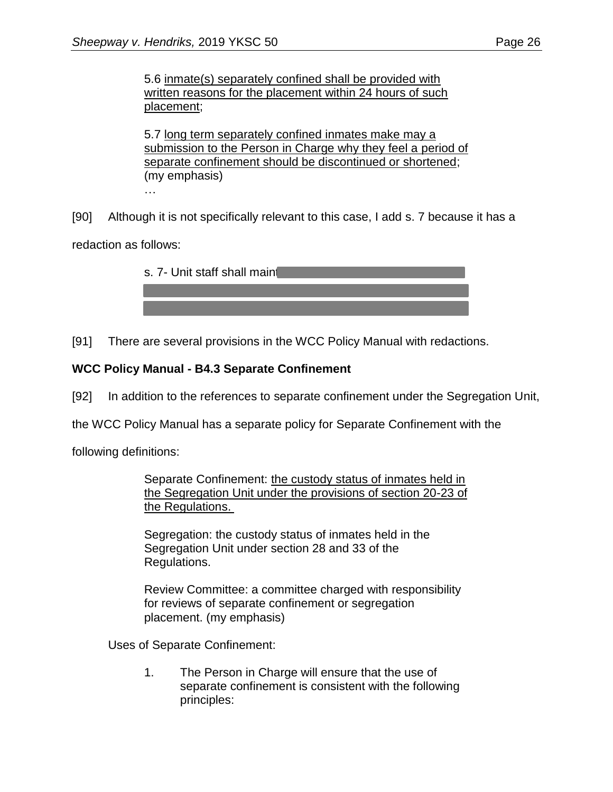5.7 long term separately confined inmates make may a submission to the Person in Charge why they feel a period of separate confinement should be discontinued or shortened; (my emphasis)

…

[90] Although it is not specifically relevant to this case, I add s. 7 because it has a

redaction as follows:

| s. 7- Unit staff shall main |
|-----------------------------|
|                             |
|                             |

[91] There are several provisions in the WCC Policy Manual with redactions.

# **WCC Policy Manual - B4.3 Separate Confinement**

[92] In addition to the references to separate confinement under the Segregation Unit,

the WCC Policy Manual has a separate policy for Separate Confinement with the

following definitions:

Separate Confinement: the custody status of inmates held in the Segregation Unit under the provisions of section 20-23 of the Regulations.

Segregation: the custody status of inmates held in the Segregation Unit under section 28 and 33 of the Regulations.

Review Committee: a committee charged with responsibility for reviews of separate confinement or segregation placement. (my emphasis)

Uses of Separate Confinement:

1. The Person in Charge will ensure that the use of separate confinement is consistent with the following principles: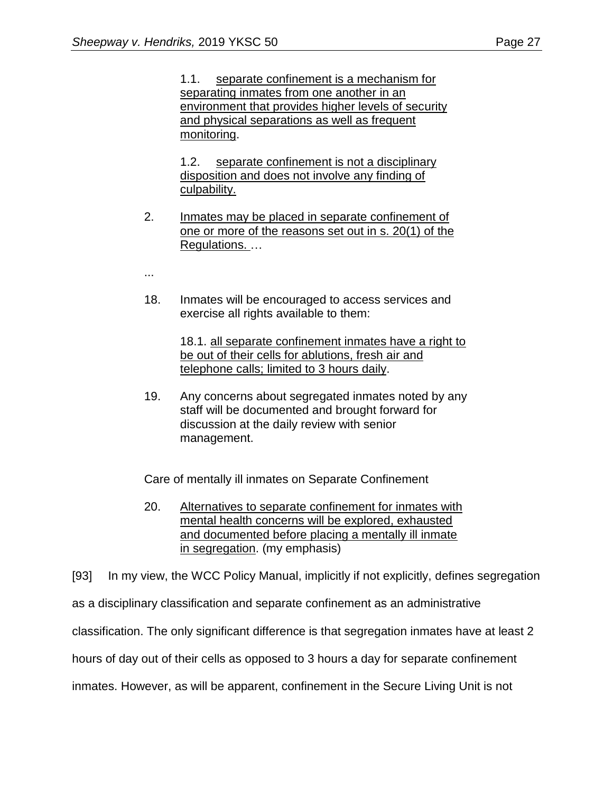1.1. separate confinement is a mechanism for separating inmates from one another in an environment that provides higher levels of security and physical separations as well as frequent monitoring.

1.2. separate confinement is not a disciplinary disposition and does not involve any finding of culpability.

- 2. Inmates may be placed in separate confinement of one or more of the reasons set out in s. 20(1) of the Regulations. …
- ...
- 18. Inmates will be encouraged to access services and exercise all rights available to them:

18.1. all separate confinement inmates have a right to be out of their cells for ablutions, fresh air and telephone calls; limited to 3 hours daily.

19. Any concerns about segregated inmates noted by any staff will be documented and brought forward for discussion at the daily review with senior management.

Care of mentally ill inmates on Separate Confinement

20. Alternatives to separate confinement for inmates with mental health concerns will be explored, exhausted and documented before placing a mentally ill inmate in segregation. (my emphasis)

[93] In my view, the WCC Policy Manual, implicitly if not explicitly, defines segregation

as a disciplinary classification and separate confinement as an administrative

classification. The only significant difference is that segregation inmates have at least 2

hours of day out of their cells as opposed to 3 hours a day for separate confinement

inmates. However, as will be apparent, confinement in the Secure Living Unit is not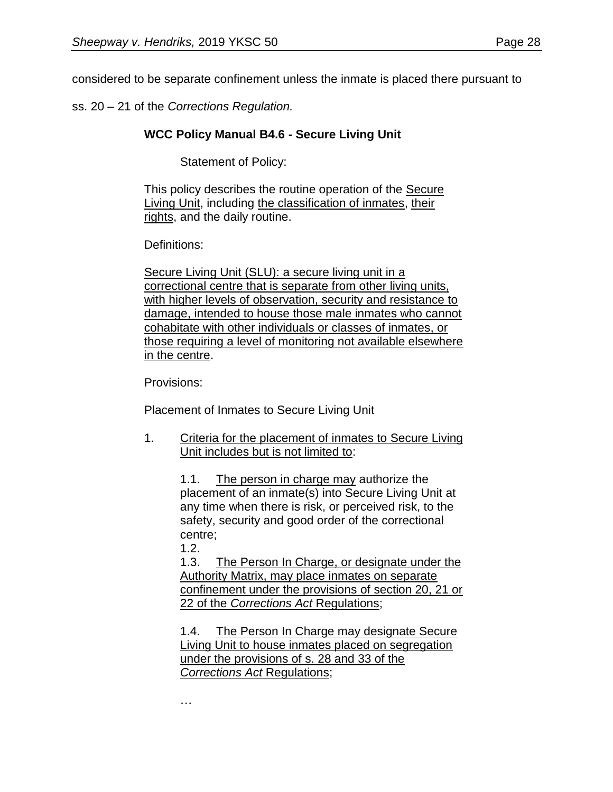considered to be separate confinement unless the inmate is placed there pursuant to

ss. 20 – 21 of the *Corrections Regulation.*

### **WCC Policy Manual B4.6 - Secure Living Unit**

Statement of Policy:

This policy describes the routine operation of the Secure Living Unit, including the classification of inmates, their rights, and the daily routine.

Definitions:

Secure Living Unit (SLU): a secure living unit in a correctional centre that is separate from other living units, with higher levels of observation, security and resistance to damage, intended to house those male inmates who cannot cohabitate with other individuals or classes of inmates, or those requiring a level of monitoring not available elsewhere in the centre.

Provisions:

Placement of Inmates to Secure Living Unit

1. Criteria for the placement of inmates to Secure Living Unit includes but is not limited to:

> 1.1. The person in charge may authorize the placement of an inmate(s) into Secure Living Unit at any time when there is risk, or perceived risk, to the safety, security and good order of the correctional centre;

1.2.

1.3. The Person In Charge, or designate under the Authority Matrix, may place inmates on separate confinement under the provisions of section 20, 21 or 22 of the *Corrections Act* Regulations;

1.4. The Person In Charge may designate Secure Living Unit to house inmates placed on segregation under the provisions of s. 28 and 33 of the *Corrections Act* Regulations;

…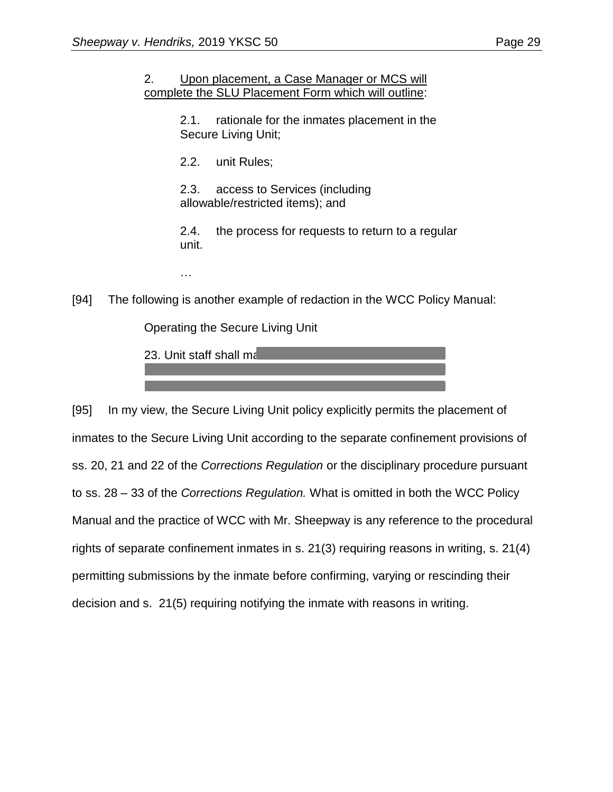#### 2. Upon placement, a Case Manager or MCS will complete the SLU Placement Form which will outline:

2.1. rationale for the inmates placement in the Secure Living Unit;

2.2. unit Rules;

2.3. access to Services (including allowable/restricted items); and

2.4. the process for requests to return to a regular unit.

…

[94] The following is another example of redaction in the WCC Policy Manual:

Operating the Secure Living Unit

23. Unit staff shall ma

[95] In my view, the Secure Living Unit policy explicitly permits the placement of inmates to the Secure Living Unit according to the separate confinement provisions of ss. 20, 21 and 22 of the *Corrections Regulation* or the disciplinary procedure pursuant to ss. 28 – 33 of the *Corrections Regulation.* What is omitted in both the WCC Policy Manual and the practice of WCC with Mr. Sheepway is any reference to the procedural rights of separate confinement inmates in s. 21(3) requiring reasons in writing, s. 21(4) permitting submissions by the inmate before confirming, varying or rescinding their decision and s. 21(5) requiring notifying the inmate with reasons in writing.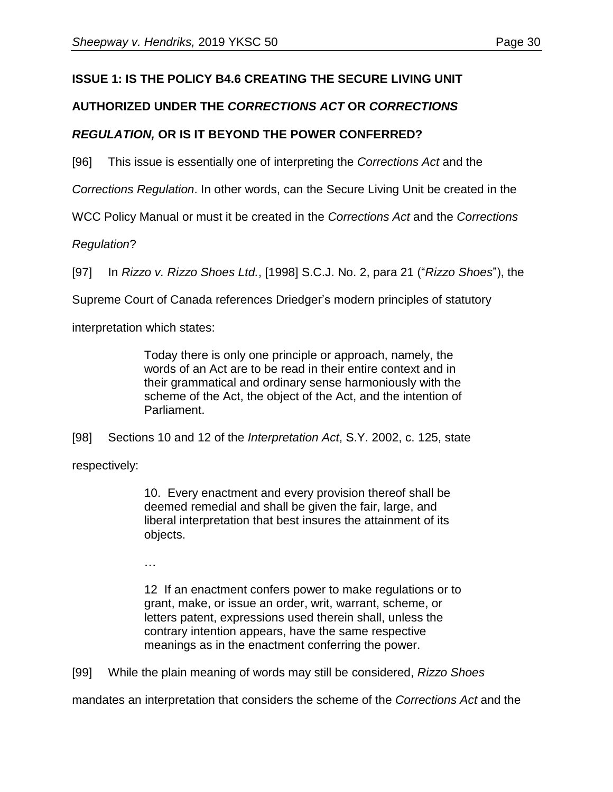# **ISSUE 1: IS THE POLICY B4.6 CREATING THE SECURE LIVING UNIT**

# **AUTHORIZED UNDER THE** *CORRECTIONS ACT* **OR** *CORRECTIONS*

# *REGULATION,* **OR IS IT BEYOND THE POWER CONFERRED?**

[96] This issue is essentially one of interpreting the *Corrections Act* and the

*Corrections Regulation*. In other words, can the Secure Living Unit be created in the

WCC Policy Manual or must it be created in the *Corrections Act* and the *Corrections* 

# *Regulation*?

[97] In *Rizzo v. Rizzo Shoes Ltd.*, [1998] S.C.J. No. 2, para 21 ("*Rizzo Shoes*"), the

Supreme Court of Canada references Driedger's modern principles of statutory

interpretation which states:

Today there is only one principle or approach, namely, the words of an Act are to be read in their entire context and in their grammatical and ordinary sense harmoniously with the scheme of the Act, the object of the Act, and the intention of Parliament.

[98] Sections 10 and 12 of the *Interpretation Act*, S.Y. 2002, c. 125, state

respectively:

10. Every enactment and every provision thereof shall be deemed remedial and shall be given the fair, large, and liberal interpretation that best insures the attainment of its objects.

…

12 If an enactment confers power to make regulations or to grant, make, or issue an order, writ, warrant, scheme, or letters patent, expressions used therein shall, unless the contrary intention appears, have the same respective meanings as in the enactment conferring the power.

[99] While the plain meaning of words may still be considered, *Rizzo Shoes*

mandates an interpretation that considers the scheme of the *Corrections Act* and the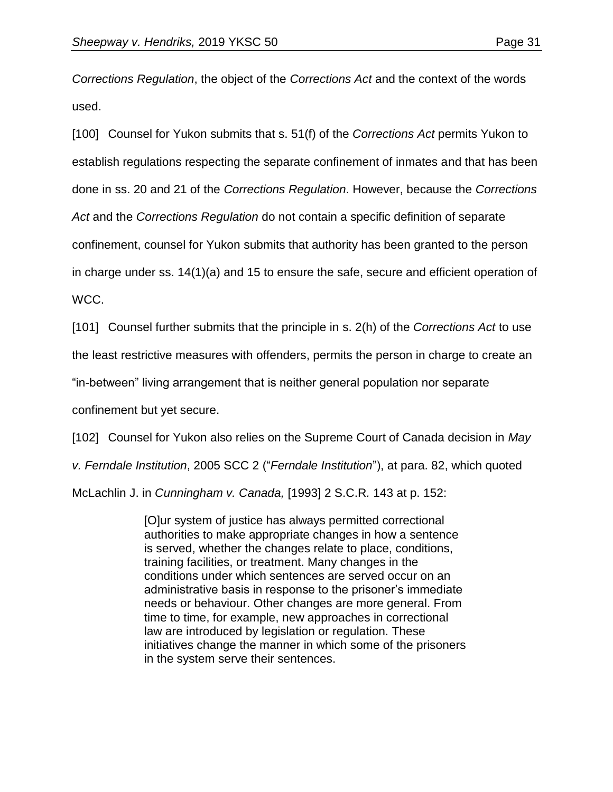*Corrections Regulation*, the object of the *Corrections Act* and the context of the words used.

[100] Counsel for Yukon submits that s. 51(f) of the *Corrections Act* permits Yukon to establish regulations respecting the separate confinement of inmates and that has been done in ss. 20 and 21 of the *Corrections Regulation*. However, because the *Corrections Act* and the *Corrections Regulation* do not contain a specific definition of separate confinement, counsel for Yukon submits that authority has been granted to the person in charge under ss. 14(1)(a) and 15 to ensure the safe, secure and efficient operation of WCC.

[101] Counsel further submits that the principle in s. 2(h) of the *Corrections Act* to use

the least restrictive measures with offenders, permits the person in charge to create an

"in-between" living arrangement that is neither general population nor separate

confinement but yet secure.

[102] Counsel for Yukon also relies on the Supreme Court of Canada decision in *May* 

*v. Ferndale Institution*, 2005 SCC 2 ("*Ferndale Institution*"), at para. 82, which quoted

McLachlin J. in *Cunningham v. Canada,* [1993] 2 S.C.R*.* 143 at p. 152:

[O]ur system of justice has always permitted correctional authorities to make appropriate changes in how a sentence is served, whether the changes relate to place, conditions, training facilities, or treatment. Many changes in the conditions under which sentences are served occur on an administrative basis in response to the prisoner's immediate needs or behaviour. Other changes are more general. From time to time, for example, new approaches in correctional law are introduced by legislation or regulation. These initiatives change the manner in which some of the prisoners in the system serve their sentences.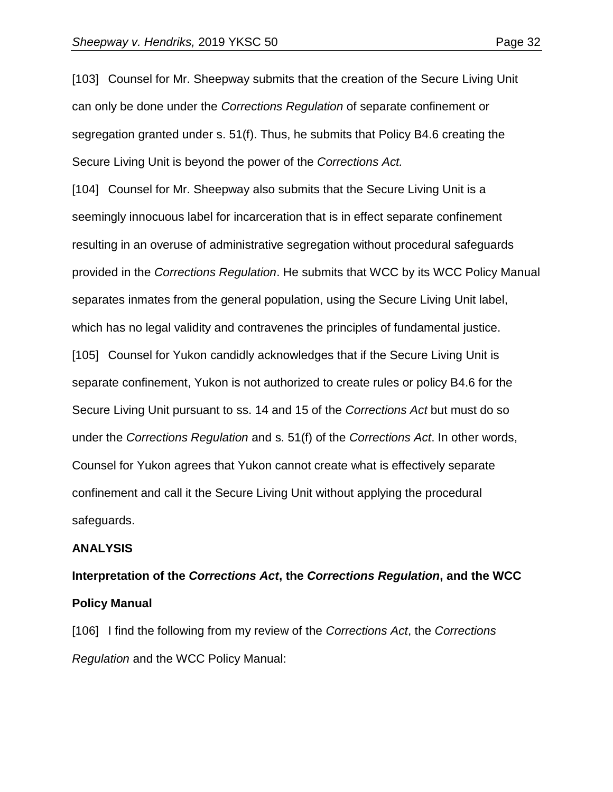[103] Counsel for Mr. Sheepway submits that the creation of the Secure Living Unit can only be done under the *Corrections Regulation* of separate confinement or segregation granted under s. 51(f). Thus, he submits that Policy B4.6 creating the Secure Living Unit is beyond the power of the *Corrections Act.*

[104] Counsel for Mr. Sheepway also submits that the Secure Living Unit is a seemingly innocuous label for incarceration that is in effect separate confinement resulting in an overuse of administrative segregation without procedural safeguards provided in the *Corrections Regulation*. He submits that WCC by its WCC Policy Manual separates inmates from the general population, using the Secure Living Unit label, which has no legal validity and contravenes the principles of fundamental justice. [105] Counsel for Yukon candidly acknowledges that if the Secure Living Unit is separate confinement, Yukon is not authorized to create rules or policy B4.6 for the Secure Living Unit pursuant to ss. 14 and 15 of the *Corrections Act* but must do so under the *Corrections Regulation* and s. 51(f) of the *Corrections Act*. In other words, Counsel for Yukon agrees that Yukon cannot create what is effectively separate confinement and call it the Secure Living Unit without applying the procedural safeguards.

#### **ANALYSIS**

# **Interpretation of the** *Corrections Act***, the** *Corrections Regulation***, and the WCC Policy Manual**

[106] I find the following from my review of the *Corrections Act*, the *Corrections Regulation* and the WCC Policy Manual: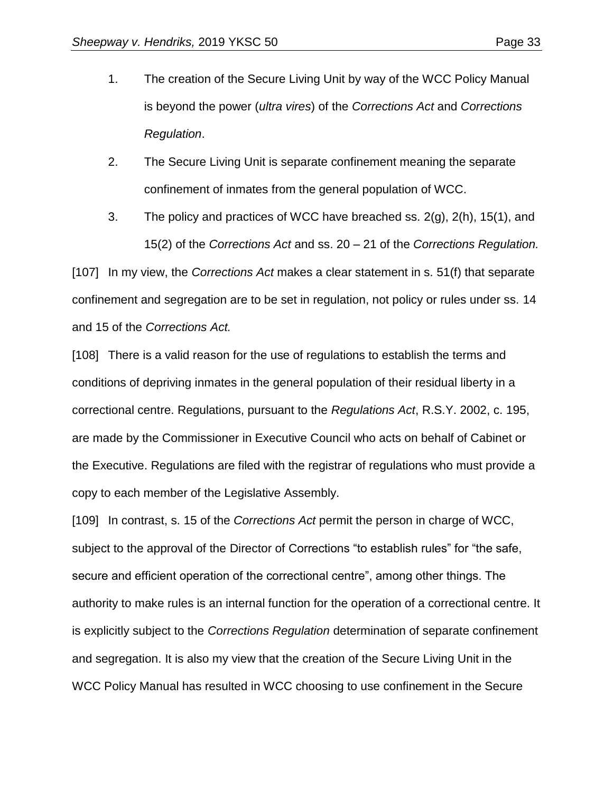- 1. The creation of the Secure Living Unit by way of the WCC Policy Manual is beyond the power (*ultra vires*) of the *Corrections Act* and *Corrections Regulation*.
- 2. The Secure Living Unit is separate confinement meaning the separate confinement of inmates from the general population of WCC.
- 3. The policy and practices of WCC have breached ss. 2(g), 2(h), 15(1), and 15(2) of the *Corrections Act* and ss. 20 – 21 of the *Corrections Regulation.*

[107] In my view, the *Corrections Act* makes a clear statement in s. 51(f) that separate confinement and segregation are to be set in regulation, not policy or rules under ss. 14 and 15 of the *Corrections Act.*

[108] There is a valid reason for the use of regulations to establish the terms and conditions of depriving inmates in the general population of their residual liberty in a correctional centre. Regulations, pursuant to the *Regulations Act*, R.S.Y. 2002, c. 195, are made by the Commissioner in Executive Council who acts on behalf of Cabinet or the Executive. Regulations are filed with the registrar of regulations who must provide a copy to each member of the Legislative Assembly.

[109] In contrast, s. 15 of the *Corrections Act* permit the person in charge of WCC, subject to the approval of the Director of Corrections "to establish rules" for "the safe, secure and efficient operation of the correctional centre", among other things. The authority to make rules is an internal function for the operation of a correctional centre. It is explicitly subject to the *Corrections Regulation* determination of separate confinement and segregation. It is also my view that the creation of the Secure Living Unit in the WCC Policy Manual has resulted in WCC choosing to use confinement in the Secure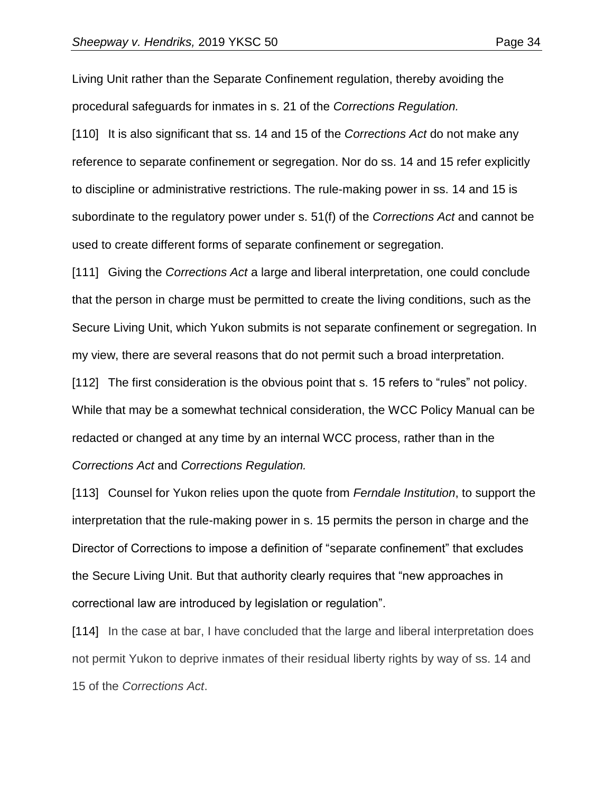Living Unit rather than the Separate Confinement regulation, thereby avoiding the procedural safeguards for inmates in s. 21 of the *Corrections Regulation.*

[110] It is also significant that ss. 14 and 15 of the *Corrections Act* do not make any reference to separate confinement or segregation. Nor do ss. 14 and 15 refer explicitly to discipline or administrative restrictions. The rule-making power in ss. 14 and 15 is subordinate to the regulatory power under s. 51(f) of the *Corrections Act* and cannot be used to create different forms of separate confinement or segregation.

[111] Giving the *Corrections Act* a large and liberal interpretation, one could conclude that the person in charge must be permitted to create the living conditions, such as the Secure Living Unit, which Yukon submits is not separate confinement or segregation. In my view, there are several reasons that do not permit such a broad interpretation.

[112] The first consideration is the obvious point that s. 15 refers to "rules" not policy. While that may be a somewhat technical consideration, the WCC Policy Manual can be redacted or changed at any time by an internal WCC process, rather than in the *Corrections Act* and *Corrections Regulation.*

[113] Counsel for Yukon relies upon the quote from *Ferndale Institution*, to support the interpretation that the rule-making power in s. 15 permits the person in charge and the Director of Corrections to impose a definition of "separate confinement" that excludes the Secure Living Unit. But that authority clearly requires that "new approaches in correctional law are introduced by legislation or regulation".

[114] In the case at bar, I have concluded that the large and liberal interpretation does not permit Yukon to deprive inmates of their residual liberty rights by way of ss. 14 and 15 of the *Corrections Act*.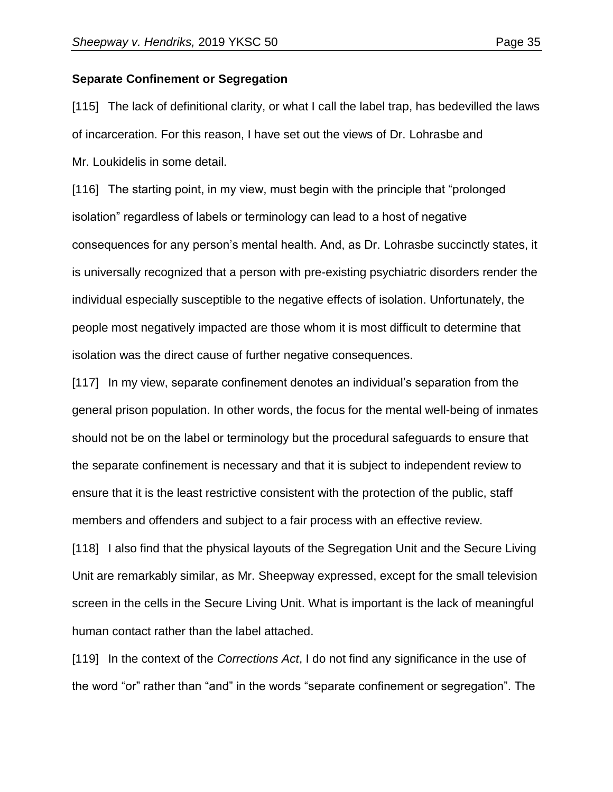#### **Separate Confinement or Segregation**

[115] The lack of definitional clarity, or what I call the label trap, has bedevilled the laws of incarceration. For this reason, I have set out the views of Dr. Lohrasbe and Mr. Loukidelis in some detail.

[116] The starting point, in my view, must begin with the principle that "prolonged isolation" regardless of labels or terminology can lead to a host of negative consequences for any person's mental health. And, as Dr. Lohrasbe succinctly states, it is universally recognized that a person with pre-existing psychiatric disorders render the individual especially susceptible to the negative effects of isolation. Unfortunately, the people most negatively impacted are those whom it is most difficult to determine that isolation was the direct cause of further negative consequences.

[117] In my view, separate confinement denotes an individual's separation from the general prison population. In other words, the focus for the mental well-being of inmates should not be on the label or terminology but the procedural safeguards to ensure that the separate confinement is necessary and that it is subject to independent review to ensure that it is the least restrictive consistent with the protection of the public, staff members and offenders and subject to a fair process with an effective review.

[118] I also find that the physical layouts of the Segregation Unit and the Secure Living Unit are remarkably similar, as Mr. Sheepway expressed, except for the small television screen in the cells in the Secure Living Unit. What is important is the lack of meaningful human contact rather than the label attached.

[119] In the context of the *Corrections Act*, I do not find any significance in the use of the word "or" rather than "and" in the words "separate confinement or segregation". The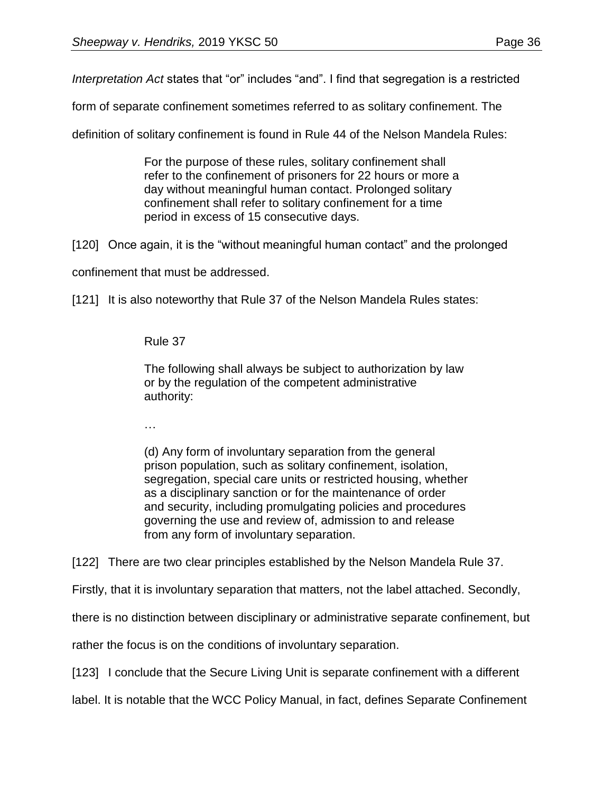*Interpretation Act* states that "or" includes "and". I find that segregation is a restricted

form of separate confinement sometimes referred to as solitary confinement. The

definition of solitary confinement is found in Rule 44 of the Nelson Mandela Rules:

For the purpose of these rules, solitary confinement shall refer to the confinement of prisoners for 22 hours or more a day without meaningful human contact. Prolonged solitary confinement shall refer to solitary confinement for a time period in excess of 15 consecutive days.

[120] Once again, it is the "without meaningful human contact" and the prolonged

confinement that must be addressed.

[121] It is also noteworthy that Rule 37 of the Nelson Mandela Rules states:

### Rule 37

The following shall always be subject to authorization by law or by the regulation of the competent administrative authority:

…

(d) Any form of involuntary separation from the general prison population, such as solitary confinement, isolation, segregation, special care units or restricted housing, whether as a disciplinary sanction or for the maintenance of order and security, including promulgating policies and procedures governing the use and review of, admission to and release from any form of involuntary separation.

[122] There are two clear principles established by the Nelson Mandela Rule 37.

Firstly, that it is involuntary separation that matters, not the label attached. Secondly,

there is no distinction between disciplinary or administrative separate confinement, but

rather the focus is on the conditions of involuntary separation.

[123] I conclude that the Secure Living Unit is separate confinement with a different

label. It is notable that the WCC Policy Manual, in fact, defines Separate Confinement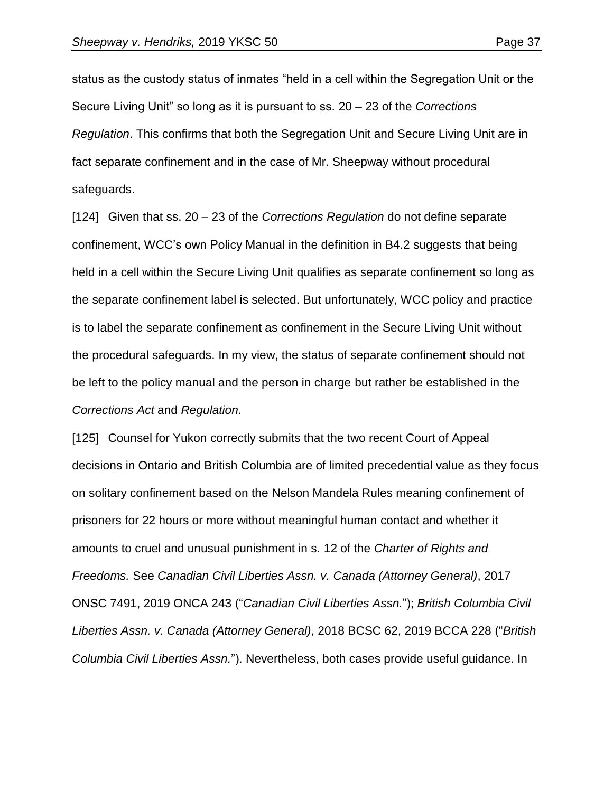status as the custody status of inmates "held in a cell within the Segregation Unit or the Secure Living Unit" so long as it is pursuant to ss. 20 – 23 of the *Corrections Regulation*. This confirms that both the Segregation Unit and Secure Living Unit are in fact separate confinement and in the case of Mr. Sheepway without procedural safeguards.

[124] Given that ss. 20 – 23 of the *Corrections Regulation* do not define separate confinement, WCC's own Policy Manual in the definition in B4.2 suggests that being held in a cell within the Secure Living Unit qualifies as separate confinement so long as the separate confinement label is selected. But unfortunately, WCC policy and practice is to label the separate confinement as confinement in the Secure Living Unit without the procedural safeguards. In my view, the status of separate confinement should not be left to the policy manual and the person in charge but rather be established in the *Corrections Act* and *Regulation.*

[125] Counsel for Yukon correctly submits that the two recent Court of Appeal decisions in Ontario and British Columbia are of limited precedential value as they focus on solitary confinement based on the Nelson Mandela Rules meaning confinement of prisoners for 22 hours or more without meaningful human contact and whether it amounts to cruel and unusual punishment in s. 12 of the *Charter of Rights and Freedoms.* See *Canadian Civil Liberties Assn. v. Canada (Attorney General)*, 2017 ONSC 7491, 2019 ONCA 243 ("*Canadian Civil Liberties Assn.*"); *British Columbia Civil Liberties Assn. v. Canada (Attorney General)*, 2018 BCSC 62, 2019 BCCA 228 ("*British Columbia Civil Liberties Assn.*"). Nevertheless, both cases provide useful guidance. In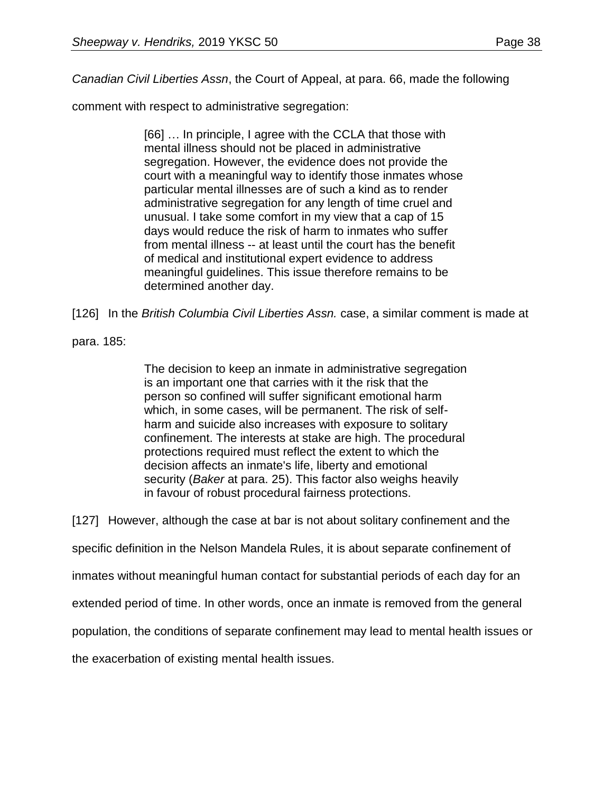*Canadian Civil Liberties Assn*, the Court of Appeal, at para. 66, made the following

comment with respect to administrative segregation:

[66] … In principle, I agree with the CCLA that those with mental illness should not be placed in administrative segregation. However, the evidence does not provide the court with a meaningful way to identify those inmates whose particular mental illnesses are of such a kind as to render administrative segregation for any length of time cruel and unusual. I take some comfort in my view that a cap of 15 days would reduce the risk of harm to inmates who suffer from mental illness -- at least until the court has the benefit of medical and institutional expert evidence to address meaningful guidelines. This issue therefore remains to be determined another day.

[126] In the *British Columbia Civil Liberties Assn.* case, a similar comment is made at

para. 185:

The decision to keep an inmate in administrative segregation is an important one that carries with it the risk that the person so confined will suffer significant emotional harm which, in some cases, will be permanent. The risk of selfharm and suicide also increases with exposure to solitary confinement. The interests at stake are high. The procedural protections required must reflect the extent to which the decision affects an inmate's life, liberty and emotional security (*Baker* at para. 25). This factor also weighs heavily in favour of robust procedural fairness protections.

[127] However, although the case at bar is not about solitary confinement and the

specific definition in the Nelson Mandela Rules, it is about separate confinement of

inmates without meaningful human contact for substantial periods of each day for an

extended period of time. In other words, once an inmate is removed from the general

population, the conditions of separate confinement may lead to mental health issues or

the exacerbation of existing mental health issues.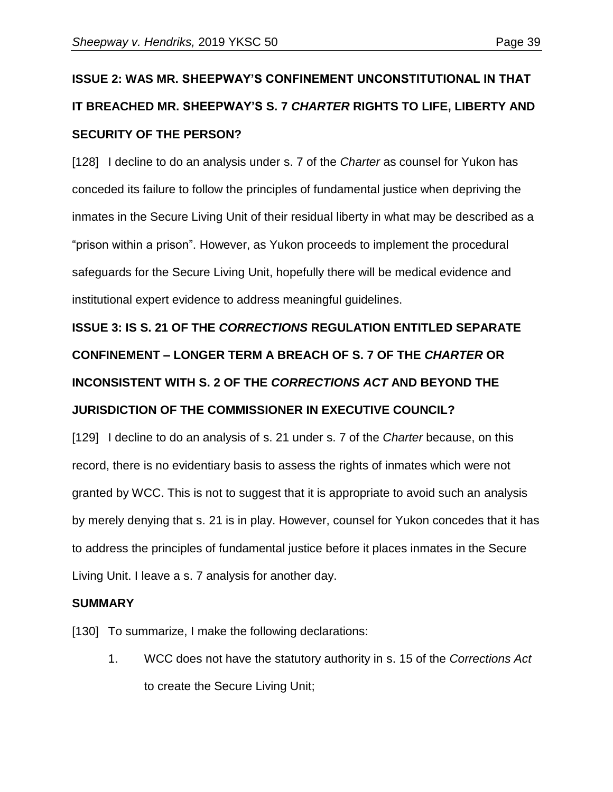# **ISSUE 2: WAS MR. SHEEPWAY'S CONFINEMENT UNCONSTITUTIONAL IN THAT IT BREACHED MR. SHEEPWAY'S S. 7** *CHARTER* **RIGHTS TO LIFE, LIBERTY AND SECURITY OF THE PERSON?**

[128] I decline to do an analysis under s. 7 of the *Charter* as counsel for Yukon has conceded its failure to follow the principles of fundamental justice when depriving the inmates in the Secure Living Unit of their residual liberty in what may be described as a "prison within a prison". However, as Yukon proceeds to implement the procedural safeguards for the Secure Living Unit, hopefully there will be medical evidence and institutional expert evidence to address meaningful guidelines.

# **ISSUE 3: IS S. 21 OF THE** *CORRECTIONS* **REGULATION ENTITLED SEPARATE CONFINEMENT – LONGER TERM A BREACH OF S. 7 OF THE** *CHARTER* **OR INCONSISTENT WITH S. 2 OF THE** *CORRECTIONS ACT* **AND BEYOND THE JURISDICTION OF THE COMMISSIONER IN EXECUTIVE COUNCIL?**

[129] I decline to do an analysis of s. 21 under s. 7 of the *Charter* because, on this record, there is no evidentiary basis to assess the rights of inmates which were not granted by WCC. This is not to suggest that it is appropriate to avoid such an analysis by merely denying that s. 21 is in play. However, counsel for Yukon concedes that it has to address the principles of fundamental justice before it places inmates in the Secure Living Unit. I leave a s. 7 analysis for another day.

### **SUMMARY**

[130] To summarize, I make the following declarations:

1. WCC does not have the statutory authority in s. 15 of the *Corrections Act* to create the Secure Living Unit;